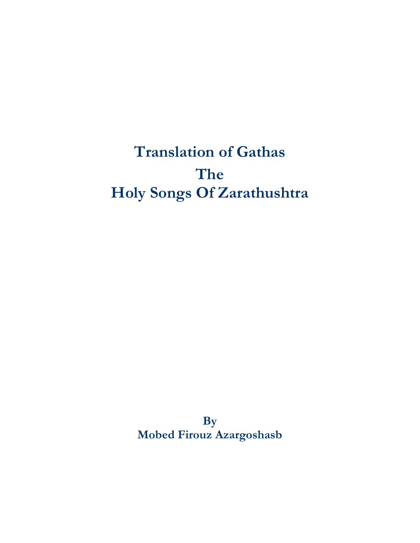# **Translation of Gathas The Holy Songs Of Zarathushtra**

**By Mobed Firouz Azargoshasb**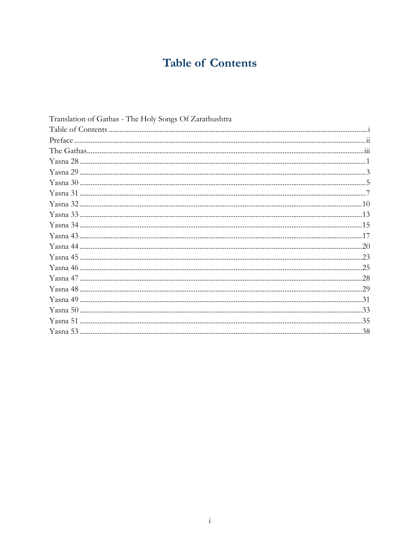# **Table of Contents**

<span id="page-1-0"></span>

| Translation of Gathas - The Holy Songs Of Zarathushtra |  |
|--------------------------------------------------------|--|
|                                                        |  |
|                                                        |  |
|                                                        |  |
|                                                        |  |
|                                                        |  |
|                                                        |  |
|                                                        |  |
|                                                        |  |
|                                                        |  |
|                                                        |  |
|                                                        |  |
|                                                        |  |
|                                                        |  |
|                                                        |  |
|                                                        |  |
|                                                        |  |
|                                                        |  |
|                                                        |  |
|                                                        |  |
|                                                        |  |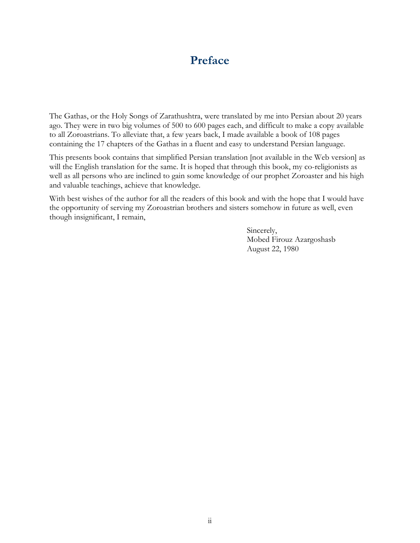# **Preface**

<span id="page-2-0"></span>The Gathas, or the Holy Songs of Zarathushtra, were translated by me into Persian about 20 years ago. They were in two big volumes of 500 to 600 pages each, and difficult to make a copy available to all Zoroastrians. To alleviate that, a few years back, I made available a book of 108 pages containing the 17 chapters of the Gathas in a fluent and easy to understand Persian language.

This presents book contains that simplified Persian translation [not available in the Web version] as will the English translation for the same. It is hoped that through this book, my co-religionists as well as all persons who are inclined to gain some knowledge of our prophet Zoroaster and his high and valuable teachings, achieve that knowledge.

With best wishes of the author for all the readers of this book and with the hope that I would have the opportunity of serving my Zoroastrian brothers and sisters somehow in future as well, even though insignificant, I remain,

> Sincerely, Mobed Firouz Azargoshasb August 22, 1980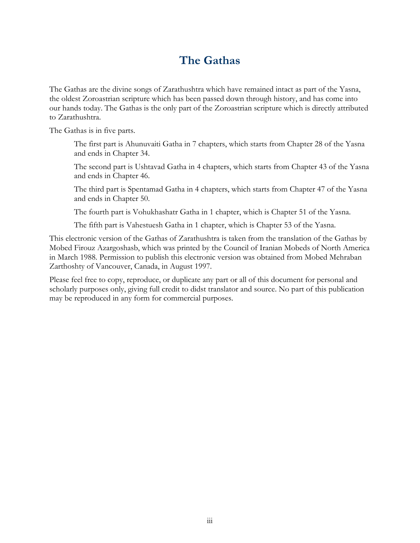# **The Gathas**

<span id="page-3-0"></span>The Gathas are the divine songs of Zarathushtra which have remained intact as part of the Yasna, the oldest Zoroastrian scripture which has been passed down through history, and has come into our hands today. The Gathas is the only part of the Zoroastrian scripture which is directly attributed to Zarathushtra.

The Gathas is in five parts.

- The first part is Ahunuvaiti Gatha in 7 chapters, which starts from Chapter 28 of the Yasna and ends in Chapter 34.
- The second part is Ushtavad Gatha in 4 chapters, which starts from Chapter 43 of the Yasna and ends in Chapter 46.
- The third part is Spentamad Gatha in 4 chapters, which starts from Chapter 47 of the Yasna and ends in Chapter 50.
- The fourth part is Vohukhashatr Gatha in 1 chapter, which is Chapter 51 of the Yasna.
- The fifth part is Vahestuesh Gatha in 1 chapter, which is Chapter 53 of the Yasna.

This electronic version of the Gathas of Zarathushtra is taken from the translation of the Gathas by Mobed Firouz Azargoshasb, which was printed by the Council of Iranian Mobeds of North America in March 1988. Permission to publish this electronic version was obtained from Mobed Mehraban Zarthoshty of Vancouver, Canada, in August 1997.

Please feel free to copy, reproduce, or duplicate any part or all of this document for personal and scholarly purposes only, giving full credit to didst translator and source. No part of this publication may be reproduced in any form for commercial purposes.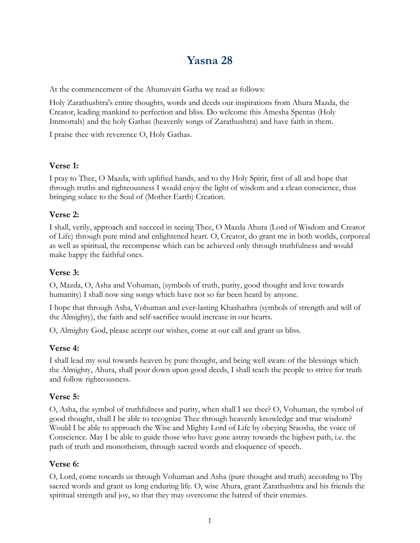<span id="page-4-0"></span>At the commencement of the Ahunuvaiti Gatha we read as follows:

Holy Zarathushtra's entire thoughts, words and deeds our inspirations from Ahura Mazda, the Creator, leading mankind to perfection and bliss. Do welcome this Amesha Spentas (Holy Immortals) and the holy Gathas (heavenly songs of Zarathushtra) and have faith in them.

I praise thee with reverence O, Holy Gathas.

#### **Verse 1:**

I pray to Thee, O Mazda, with uplifted hands, and to thy Holy Spirit, first of all and hope that through truths and righteousness I would enjoy the light of wisdom and a clean conscience, thus bringing solace to the Soul of (Mother Earth) Creation.

#### **Verse 2:**

I shall, verily, approach and succeed in seeing Thee, O Mazda Ahura (Lord of Wisdom and Creator of Life) through pure mind and enlightened heart. O, Creator, do grant me in both worlds, corporeal as well as spiritual, the recompense which can be achieved only through truthfulness and would make happy the faithful ones.

#### **Verse 3:**

O, Mazda, O, Asha and Vohuman, (symbols of truth, purity, good thought and love towards humanity) I shall now sing songs which have not so far been heard by anyone.

I hope that through Asha, Vohuman and ever-lasting Khashathra (symbols of strength and will of the Almighty), the faith and self-sacrifice would increase in our hearts.

O, Almighty God, please accept our wishes, come at our call and grant us bliss.

#### **Verse 4:**

I shall lead my soul towards heaven by pure thought, and being well aware of the blessings which the Almighty, Ahura, shall pour down upon good deeds, I shall teach the people to strive for truth and follow righteousness.

#### **Verse 5:**

O, Asha, the symbol of truthfulness and purity, when shall I see thee? O, Vohuman, the symbol of good thought, shall I be able to recognize Thee through heavenly knowledge and true wisdom? Would I be able to approach the Wise and Mighty Lord of Life by obeying Sraosha, the voice of Conscience. May I be able to guide those who have gone astray towards the highest path, i.e. the path of truth and monotheism, through sacred words and eloquence of speech.

#### **Verse 6:**

O, Lord, come towards us through Vohuman and Asha (pure thought and truth) according to Thy sacred words and grant us long enduring life. O, wise Ahura, grant Zarathushtra and his friends the spiritual strength and joy, so that they may overcome the hatred of their enemies.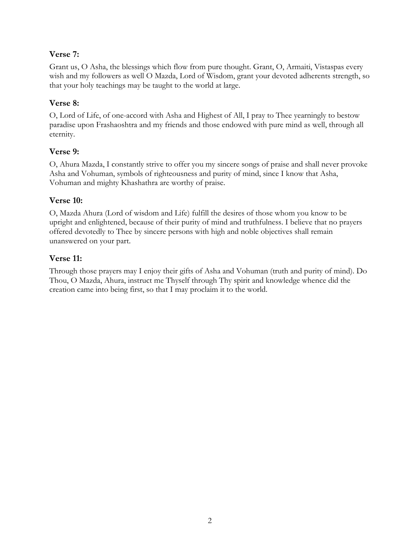# **Verse 7:**

Grant us, O Asha, the blessings which flow from pure thought. Grant, O, Armaiti, Vistaspas every wish and my followers as well O Mazda, Lord of Wisdom, grant your devoted adherents strength, so that your holy teachings may be taught to the world at large.

# **Verse 8:**

O, Lord of Life, of one-accord with Asha and Highest of All, I pray to Thee yearningly to bestow paradise upon Frashaoshtra and my friends and those endowed with pure mind as well, through all eternity.

# **Verse 9:**

O, Ahura Mazda, I constantly strive to offer you my sincere songs of praise and shall never provoke Asha and Vohuman, symbols of righteousness and purity of mind, since I know that Asha, Vohuman and mighty Khashathra are worthy of praise.

# **Verse 10:**

O, Mazda Ahura (Lord of wisdom and Life) fulfill the desires of those whom you know to be upright and enlightened, because of their purity of mind and truthfulness. I believe that no prayers offered devotedly to Thee by sincere persons with high and noble objectives shall remain unanswered on your part.

# **Verse 11:**

Through those prayers may I enjoy their gifts of Asha and Vohuman (truth and purity of mind). Do Thou, O Mazda, Ahura, instruct me Thyself through Thy spirit and knowledge whence did the creation came into being first, so that I may proclaim it to the world.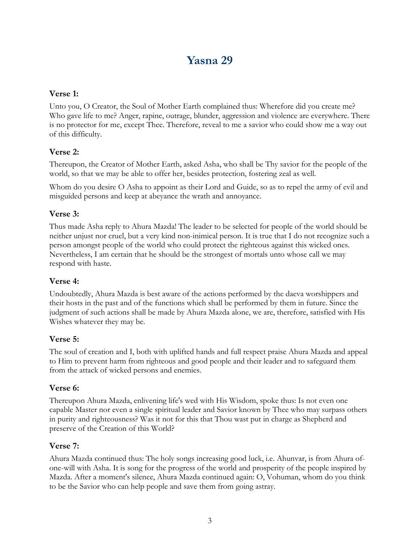# <span id="page-6-0"></span>**Verse 1:**

Unto you, O Creator, the Soul of Mother Earth complained thus: Wherefore did you create me? Who gave life to me? Anger, rapine, outrage, blunder, aggression and violence are everywhere. There is no protector for me, except Thee. Therefore, reveal to me a savior who could show me a way out of this difficulty.

# **Verse 2:**

Thereupon, the Creator of Mother Earth, asked Asha, who shall be Thy savior for the people of the world, so that we may be able to offer her, besides protection, fostering zeal as well.

Whom do you desire O Asha to appoint as their Lord and Guide, so as to repel the army of evil and misguided persons and keep at abeyance the wrath and annoyance.

#### **Verse 3:**

Thus made Asha reply to Ahura Mazda! The leader to be selected for people of the world should be neither unjust nor cruel, but a very kind non-inimical person. It is true that I do not recognize such a person amongst people of the world who could protect the righteous against this wicked ones. Nevertheless, I am certain that he should be the strongest of mortals unto whose call we may respond with haste.

#### **Verse 4:**

Undoubtedly, Ahura Mazda is best aware of the actions performed by the daeva worshippers and their hosts in the past and of the functions which shall be performed by them in future. Since the judgment of such actions shall be made by Ahura Mazda alone, we are, therefore, satisfied with His Wishes whatever they may be.

#### **Verse 5:**

The soul of creation and I, both with uplifted hands and full respect praise Ahura Mazda and appeal to Him to prevent harm from righteous and good people and their leader and to safeguard them from the attack of wicked persons and enemies.

#### **Verse 6:**

Thereupon Ahura Mazda, enlivening life's wed with His Wisdom, spoke thus: Is not even one capable Master nor even a single spiritual leader and Savior known by Thee who may surpass others in purity and righteousness? Was it not for this that Thou wast put in charge as Shepherd and preserve of the Creation of this World?

# **Verse 7:**

Ahura Mazda continued thus: The holy songs increasing good luck, i.e. Ahunvar, is from Ahura ofone-will with Asha. It is song for the progress of the world and prosperity of the people inspired by Mazda. After a moment's silence, Ahura Mazda continued again: O, Vohuman, whom do you think to be the Savior who can help people and save them from going astray.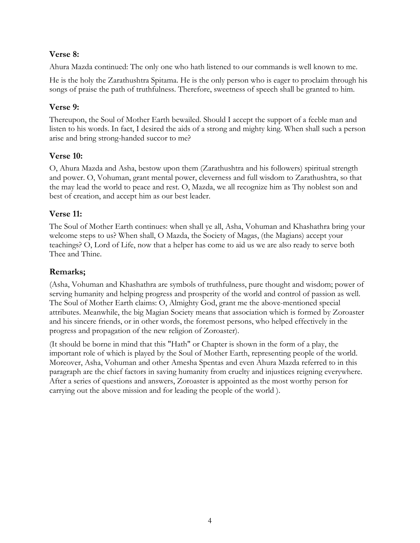### **Verse 8:**

Ahura Mazda continued: The only one who hath listened to our commands is well known to me.

He is the holy the Zarathushtra Spitama. He is the only person who is eager to proclaim through his songs of praise the path of truthfulness. Therefore, sweetness of speech shall be granted to him.

# **Verse 9:**

Thereupon, the Soul of Mother Earth bewailed. Should I accept the support of a feeble man and listen to his words. In fact, I desired the aids of a strong and mighty king. When shall such a person arise and bring strong-handed succor to me?

# **Verse 10:**

O, Ahura Mazda and Asha, bestow upon them (Zarathushtra and his followers) spiritual strength and power. O, Vohuman, grant mental power, cleverness and full wisdom to Zarathushtra, so that the may lead the world to peace and rest. O, Mazda, we all recognize him as Thy noblest son and best of creation, and accept him as our best leader.

# **Verse 11:**

The Soul of Mother Earth continues: when shall ye all, Asha, Vohuman and Khashathra bring your welcome steps to us? When shall, O Mazda, the Society of Magas, (the Magians) accept your teachings? O, Lord of Life, now that a helper has come to aid us we are also ready to serve both Thee and Thine.

# **Remarks;**

(Asha, Vohuman and Khashathra are symbols of truthfulness, pure thought and wisdom; power of serving humanity and helping progress and prosperity of the world and control of passion as well. The Soul of Mother Earth claims: O, Almighty God, grant me the above-mentioned special attributes. Meanwhile, the big Magian Society means that association which is formed by Zoroaster and his sincere friends, or in other words, the foremost persons, who helped effectively in the progress and propagation of the new religion of Zoroaster).

(It should be borne in mind that this "Hath" or Chapter is shown in the form of a play, the important role of which is played by the Soul of Mother Earth, representing people of the world. Moreover, Asha, Vohuman and other Amesha Spentas and even Ahura Mazda referred to in this paragraph are the chief factors in saving humanity from cruelty and injustices reigning everywhere. After a series of questions and answers, Zoroaster is appointed as the most worthy person for carrying out the above mission and for leading the people of the world ).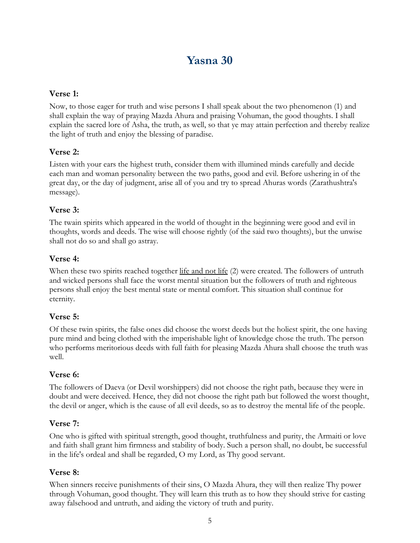### <span id="page-8-0"></span>**Verse 1:**

Now, to those eager for truth and wise persons I shall speak about the two phenomenon (1) and shall explain the way of praying Mazda Ahura and praising Vohuman, the good thoughts. I shall explain the sacred lore of Asha, the truth, as well, so that ye may attain perfection and thereby realize the light of truth and enjoy the blessing of paradise.

# **Verse 2:**

Listen with your ears the highest truth, consider them with illumined minds carefully and decide each man and woman personality between the two paths, good and evil. Before ushering in of the great day, or the day of judgment, arise all of you and try to spread Ahuras words (Zarathushtra's message).

#### **Verse 3:**

The twain spirits which appeared in the world of thought in the beginning were good and evil in thoughts, words and deeds. The wise will choose rightly (of the said two thoughts), but the unwise shall not do so and shall go astray.

#### **Verse 4:**

When these two spirits reached together life and not life (2) were created. The followers of untruth and wicked persons shall face the worst mental situation but the followers of truth and righteous persons shall enjoy the best mental state or mental comfort. This situation shall continue for eternity.

#### **Verse 5:**

Of these twin spirits, the false ones did choose the worst deeds but the holiest spirit, the one having pure mind and being clothed with the imperishable light of knowledge chose the truth. The person who performs meritorious deeds with full faith for pleasing Mazda Ahura shall choose the truth was well.

#### **Verse 6:**

The followers of Daeva (or Devil worshippers) did not choose the right path, because they were in doubt and were deceived. Hence, they did not choose the right path but followed the worst thought, the devil or anger, which is the cause of all evil deeds, so as to destroy the mental life of the people.

# **Verse 7:**

One who is gifted with spiritual strength, good thought, truthfulness and purity, the Armaiti or love and faith shall grant him firmness and stability of body. Such a person shall, no doubt, be successful in the life's ordeal and shall be regarded, O my Lord, as Thy good servant.

#### **Verse 8:**

When sinners receive punishments of their sins, O Mazda Ahura, they will then realize Thy power through Vohuman, good thought. They will learn this truth as to how they should strive for casting away falsehood and untruth, and aiding the victory of truth and purity.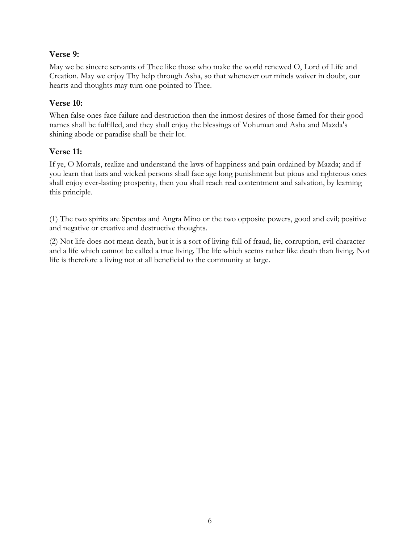# **Verse 9:**

May we be sincere servants of Thee like those who make the world renewed O, Lord of Life and Creation. May we enjoy Thy help through Asha, so that whenever our minds waiver in doubt, our hearts and thoughts may turn one pointed to Thee.

# **Verse 10:**

When false ones face failure and destruction then the inmost desires of those famed for their good names shall be fulfilled, and they shall enjoy the blessings of Vohuman and Asha and Mazda's shining abode or paradise shall be their lot.

# **Verse 11:**

If ye, O Mortals, realize and understand the laws of happiness and pain ordained by Mazda; and if you learn that liars and wicked persons shall face age long punishment but pious and righteous ones shall enjoy ever-lasting prosperity, then you shall reach real contentment and salvation, by learning this principle.

(1) The two spirits are Spentas and Angra Mino or the two opposite powers, good and evil; positive and negative or creative and destructive thoughts.

(2) Not life does not mean death, but it is a sort of living full of fraud, lie, corruption, evil character and a life which cannot be called a true living. The life which seems rather like death than living. Not life is therefore a living not at all beneficial to the community at large.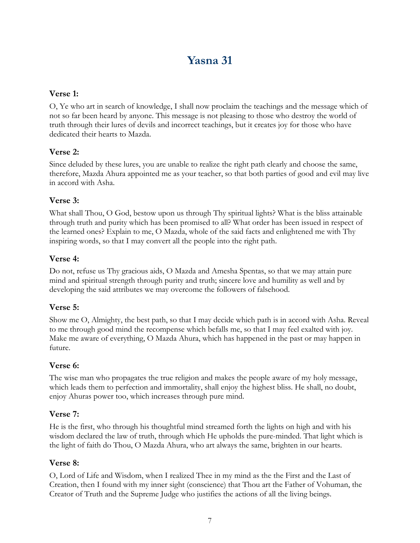### <span id="page-10-0"></span>**Verse 1:**

O, Ye who art in search of knowledge, I shall now proclaim the teachings and the message which of not so far been heard by anyone. This message is not pleasing to those who destroy the world of truth through their lures of devils and incorrect teachings, but it creates joy for those who have dedicated their hearts to Mazda.

# **Verse 2:**

Since deluded by these lures, you are unable to realize the right path clearly and choose the same, therefore, Mazda Ahura appointed me as your teacher, so that both parties of good and evil may live in accord with Asha.

# **Verse 3:**

What shall Thou, O God, bestow upon us through Thy spiritual lights? What is the bliss attainable through truth and purity which has been promised to all? What order has been issued in respect of the learned ones? Explain to me, O Mazda, whole of the said facts and enlightened me with Thy inspiring words, so that I may convert all the people into the right path.

#### **Verse 4:**

Do not, refuse us Thy gracious aids, O Mazda and Amesha Spentas, so that we may attain pure mind and spiritual strength through purity and truth; sincere love and humility as well and by developing the said attributes we may overcome the followers of falsehood.

#### **Verse 5:**

Show me O, Almighty, the best path, so that I may decide which path is in accord with Asha. Reveal to me through good mind the recompense which befalls me, so that I may feel exalted with joy. Make me aware of everything, O Mazda Ahura, which has happened in the past or may happen in future.

#### **Verse 6:**

The wise man who propagates the true religion and makes the people aware of my holy message, which leads them to perfection and immortality, shall enjoy the highest bliss. He shall, no doubt, enjoy Ahuras power too, which increases through pure mind.

#### **Verse 7:**

He is the first, who through his thoughtful mind streamed forth the lights on high and with his wisdom declared the law of truth, through which He upholds the pure-minded. That light which is the light of faith do Thou, O Mazda Ahura, who art always the same, brighten in our hearts.

#### **Verse 8:**

O, Lord of Life and Wisdom, when I realized Thee in my mind as the the First and the Last of Creation, then I found with my inner sight (conscience) that Thou art the Father of Vohuman, the Creator of Truth and the Supreme Judge who justifies the actions of all the living beings.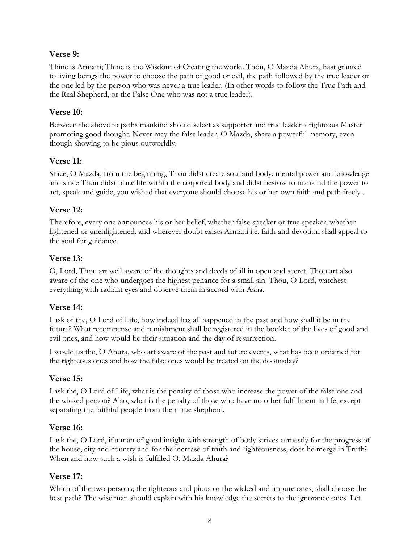### **Verse 9:**

Thine is Armaiti; Thine is the Wisdom of Creating the world. Thou, O Mazda Ahura, hast granted to living beings the power to choose the path of good or evil, the path followed by the true leader or the one led by the person who was never a true leader. (In other words to follow the True Path and the Real Shepherd, or the False One who was not a true leader).

# **Verse 10:**

Between the above to paths mankind should select as supporter and true leader a righteous Master promoting good thought. Never may the false leader, O Mazda, share a powerful memory, even though showing to be pious outworldly.

# **Verse 11:**

Since, O Mazda, from the beginning, Thou didst create soul and body; mental power and knowledge and since Thou didst place life within the corporeal body and didst bestow to mankind the power to act, speak and guide, you wished that everyone should choose his or her own faith and path freely .

# **Verse 12:**

Therefore, every one announces his or her belief, whether false speaker or true speaker, whether lightened or unenlightened, and wherever doubt exists Armaiti i.e. faith and devotion shall appeal to the soul for guidance.

# **Verse 13:**

O, Lord, Thou art well aware of the thoughts and deeds of all in open and secret. Thou art also aware of the one who undergoes the highest penance for a small sin. Thou, O Lord, watchest everything with radiant eyes and observe them in accord with Asha.

# **Verse 14:**

I ask of the, O Lord of Life, how indeed has all happened in the past and how shall it be in the future? What recompense and punishment shall be registered in the booklet of the lives of good and evil ones, and how would be their situation and the day of resurrection.

I would us the, O Ahura, who art aware of the past and future events, what has been ordained for the righteous ones and how the false ones would be treated on the doomsday?

# **Verse 15:**

I ask the, O Lord of Life, what is the penalty of those who increase the power of the false one and the wicked person? Also, what is the penalty of those who have no other fulfillment in life, except separating the faithful people from their true shepherd.

#### **Verse 16:**

I ask the, O Lord, if a man of good insight with strength of body strives earnestly for the progress of the house, city and country and for the increase of truth and righteousness, does he merge in Truth? When and how such a wish is fulfilled O, Mazda Ahura?

#### **Verse 17:**

Which of the two persons; the righteous and pious or the wicked and impure ones, shall choose the best path? The wise man should explain with his knowledge the secrets to the ignorance ones. Let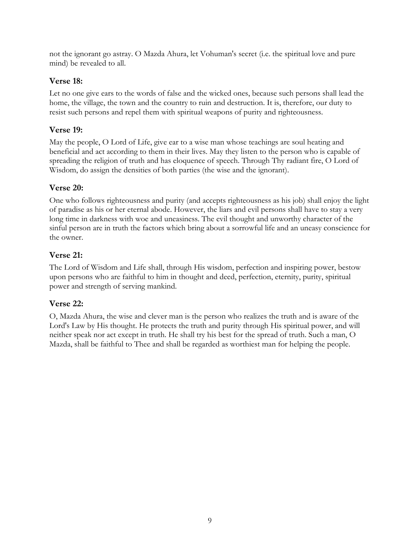not the ignorant go astray. O Mazda Ahura, let Vohuman's secret (i.e. the spiritual love and pure mind) be revealed to all.

# **Verse 18:**

Let no one give ears to the words of false and the wicked ones, because such persons shall lead the home, the village, the town and the country to ruin and destruction. It is, therefore, our duty to resist such persons and repel them with spiritual weapons of purity and righteousness.

# **Verse 19:**

May the people, O Lord of Life, give ear to a wise man whose teachings are soul heating and beneficial and act according to them in their lives. May they listen to the person who is capable of spreading the religion of truth and has eloquence of speech. Through Thy radiant fire, O Lord of Wisdom, do assign the densities of both parties (the wise and the ignorant).

# **Verse 20:**

One who follows righteousness and purity (and accepts righteousness as his job) shall enjoy the light of paradise as his or her eternal abode. However, the liars and evil persons shall have to stay a very long time in darkness with woe and uneasiness. The evil thought and unworthy character of the sinful person are in truth the factors which bring about a sorrowful life and an uneasy conscience for the owner.

# **Verse 21:**

The Lord of Wisdom and Life shall, through His wisdom, perfection and inspiring power, bestow upon persons who are faithful to him in thought and deed, perfection, eternity, purity, spiritual power and strength of serving mankind.

#### **Verse 22:**

O, Mazda Ahura, the wise and clever man is the person who realizes the truth and is aware of the Lord's Law by His thought. He protects the truth and purity through His spiritual power, and will neither speak nor act except in truth. He shall try his best for the spread of truth. Such a man, O Mazda, shall be faithful to Thee and shall be regarded as worthiest man for helping the people.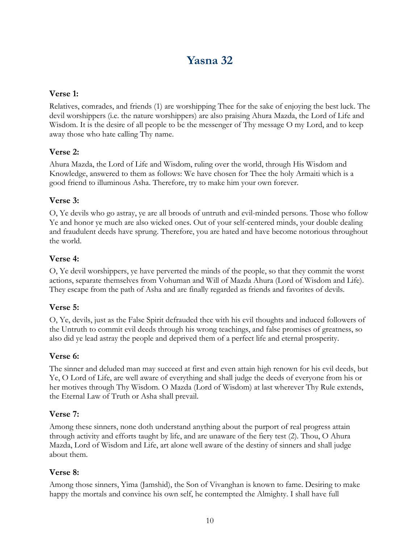# <span id="page-13-0"></span>**Verse 1:**

Relatives, comrades, and friends (1) are worshipping Thee for the sake of enjoying the best luck. The devil worshippers (i.e. the nature worshippers) are also praising Ahura Mazda, the Lord of Life and Wisdom. It is the desire of all people to be the messenger of Thy message O my Lord, and to keep away those who hate calling Thy name.

# **Verse 2:**

Ahura Mazda, the Lord of Life and Wisdom, ruling over the world, through His Wisdom and Knowledge, answered to them as follows: We have chosen for Thee the holy Armaiti which is a good friend to illuminous Asha. Therefore, try to make him your own forever.

#### **Verse 3:**

O, Ye devils who go astray, ye are all broods of untruth and evil-minded persons. Those who follow Ye and honor ye much are also wicked ones. Out of your self-centered minds, your double dealing and fraudulent deeds have sprung. Therefore, you are hated and have become notorious throughout the world.

#### **Verse 4:**

O, Ye devil worshippers, ye have perverted the minds of the people, so that they commit the worst actions, separate themselves from Vohuman and Will of Mazda Ahura (Lord of Wisdom and Life). They escape from the path of Asha and are finally regarded as friends and favorites of devils.

#### **Verse 5:**

O, Ye, devils, just as the False Spirit defrauded thee with his evil thoughts and induced followers of the Untruth to commit evil deeds through his wrong teachings, and false promises of greatness, so also did ye lead astray the people and deprived them of a perfect life and eternal prosperity.

#### **Verse 6:**

The sinner and deluded man may succeed at first and even attain high renown for his evil deeds, but Ye, O Lord of Life, are well aware of everything and shall judge the deeds of everyone from his or her motives through Thy Wisdom. O Mazda (Lord of Wisdom) at last wherever Thy Rule extends, the Eternal Law of Truth or Asha shall prevail.

#### **Verse 7:**

Among these sinners, none doth understand anything about the purport of real progress attain through activity and efforts taught by life, and are unaware of the fiery test (2). Thou, O Ahura Mazda, Lord of Wisdom and Life, art alone well aware of the destiny of sinners and shall judge about them.

#### **Verse 8:**

Among those sinners, Yima (Jamshid), the Son of Vivanghan is known to fame. Desiring to make happy the mortals and convince his own self, he contempted the Almighty. I shall have full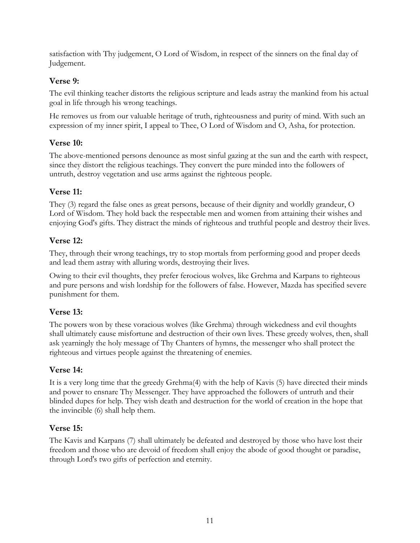satisfaction with Thy judgement, O Lord of Wisdom, in respect of the sinners on the final day of Judgement.

# **Verse 9:**

The evil thinking teacher distorts the religious scripture and leads astray the mankind from his actual goal in life through his wrong teachings.

He removes us from our valuable heritage of truth, righteousness and purity of mind. With such an expression of my inner spirit, I appeal to Thee, O Lord of Wisdom and O, Asha, for protection.

# **Verse 10:**

The above-mentioned persons denounce as most sinful gazing at the sun and the earth with respect, since they distort the religious teachings. They convert the pure minded into the followers of untruth, destroy vegetation and use arms against the righteous people.

# **Verse 11:**

They (3) regard the false ones as great persons, because of their dignity and worldly grandeur, O Lord of Wisdom. They hold back the respectable men and women from attaining their wishes and enjoying God's gifts. They distract the minds of righteous and truthful people and destroy their lives.

#### **Verse 12:**

They, through their wrong teachings, try to stop mortals from performing good and proper deeds and lead them astray with alluring words, destroying their lives.

Owing to their evil thoughts, they prefer ferocious wolves, like Grehma and Karpans to righteous and pure persons and wish lordship for the followers of false. However, Mazda has specified severe punishment for them.

#### **Verse 13:**

The powers won by these voracious wolves (like Grehma) through wickedness and evil thoughts shall ultimately cause misfortune and destruction of their own lives. These greedy wolves, then, shall ask yearningly the holy message of Thy Chanters of hymns, the messenger who shall protect the righteous and virtues people against the threatening of enemies.

#### **Verse 14:**

It is a very long time that the greedy Grehma(4) with the help of Kavis (5) have directed their minds and power to ensnare Thy Messenger. They have approached the followers of untruth and their blinded dupes for help. They wish death and destruction for the world of creation in the hope that the invincible (6) shall help them.

#### **Verse 15:**

The Kavis and Karpans (7) shall ultimately be defeated and destroyed by those who have lost their freedom and those who are devoid of freedom shall enjoy the abode of good thought or paradise, through Lord's two gifts of perfection and eternity.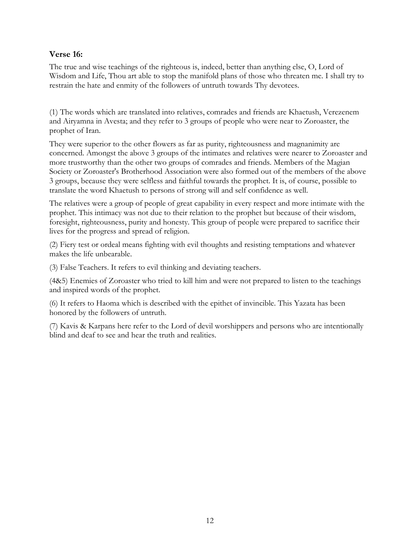#### **Verse 16:**

The true and wise teachings of the righteous is, indeed, better than anything else, O, Lord of Wisdom and Life, Thou art able to stop the manifold plans of those who threaten me. I shall try to restrain the hate and enmity of the followers of untruth towards Thy devotees.

(1) The words which are translated into relatives, comrades and friends are Khaetush, Verezenem and Airyamna in Avesta; and they refer to 3 groups of people who were near to Zoroaster, the prophet of Iran.

They were superior to the other flowers as far as purity, righteousness and magnanimity are concerned. Amongst the above 3 groups of the intimates and relatives were nearer to Zoroaster and more trustworthy than the other two groups of comrades and friends. Members of the Magian Society or Zoroaster's Brotherhood Association were also formed out of the members of the above 3 groups, because they were selfless and faithful towards the prophet. It is, of course, possible to translate the word Khaetush to persons of strong will and self confidence as well.

The relatives were a group of people of great capability in every respect and more intimate with the prophet. This intimacy was not due to their relation to the prophet but because of their wisdom, foresight, righteousness, purity and honesty. This group of people were prepared to sacrifice their lives for the progress and spread of religion.

(2) Fiery test or ordeal means fighting with evil thoughts and resisting temptations and whatever makes the life unbearable.

(3) False Teachers. It refers to evil thinking and deviating teachers.

(4&5) Enemies of Zoroaster who tried to kill him and were not prepared to listen to the teachings and inspired words of the prophet.

(6) It refers to Haoma which is described with the epithet of invincible. This Yazata has been honored by the followers of untruth.

(7) Kavis & Karpans here refer to the Lord of devil worshippers and persons who are intentionally blind and deaf to see and hear the truth and realities.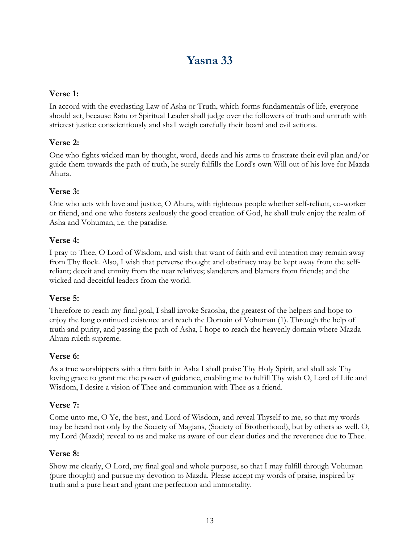### <span id="page-16-0"></span>**Verse 1:**

In accord with the everlasting Law of Asha or Truth, which forms fundamentals of life, everyone should act, because Ratu or Spiritual Leader shall judge over the followers of truth and untruth with strictest justice conscientiously and shall weigh carefully their board and evil actions.

# **Verse 2:**

One who fights wicked man by thought, word, deeds and his arms to frustrate their evil plan and/or guide them towards the path of truth, he surely fulfills the Lord's own Will out of his love for Mazda Ahura.

# **Verse 3:**

One who acts with love and justice, O Ahura, with righteous people whether self-reliant, co-worker or friend, and one who fosters zealously the good creation of God, he shall truly enjoy the realm of Asha and Vohuman, i.e. the paradise.

# **Verse 4:**

I pray to Thee, O Lord of Wisdom, and wish that want of faith and evil intention may remain away from Thy flock. Also, I wish that perverse thought and obstinacy may be kept away from the selfreliant; deceit and enmity from the near relatives; slanderers and blamers from friends; and the wicked and deceitful leaders from the world.

#### **Verse 5:**

Therefore to reach my final goal, I shall invoke Sraosha, the greatest of the helpers and hope to enjoy the long continued existence and reach the Domain of Vohuman (1). Through the help of truth and purity, and passing the path of Asha, I hope to reach the heavenly domain where Mazda Ahura ruleth supreme.

# **Verse 6:**

As a true worshippers with a firm faith in Asha I shall praise Thy Holy Spirit, and shall ask Thy loving grace to grant me the power of guidance, enabling me to fulfill Thy wish O, Lord of Life and Wisdom, I desire a vision of Thee and communion with Thee as a friend.

#### **Verse 7:**

Come unto me, O Ye, the best, and Lord of Wisdom, and reveal Thyself to me, so that my words may be heard not only by the Society of Magians, (Society of Brotherhood), but by others as well. O, my Lord (Mazda) reveal to us and make us aware of our clear duties and the reverence due to Thee.

#### **Verse 8:**

Show me clearly, O Lord, my final goal and whole purpose, so that I may fulfill through Vohuman (pure thought) and pursue my devotion to Mazda. Please accept my words of praise, inspired by truth and a pure heart and grant me perfection and immortality.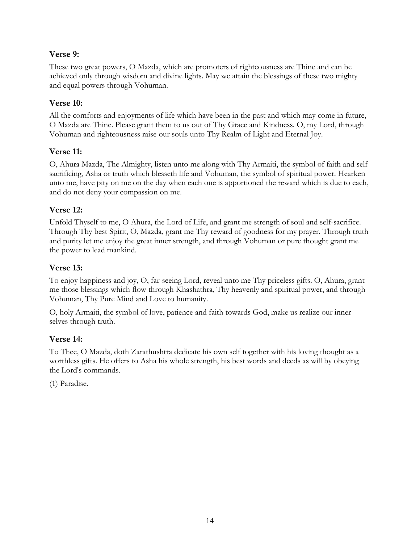# **Verse 9:**

These two great powers, O Mazda, which are promoters of righteousness are Thine and can be achieved only through wisdom and divine lights. May we attain the blessings of these two mighty and equal powers through Vohuman.

# **Verse 10:**

All the comforts and enjoyments of life which have been in the past and which may come in future, O Mazda are Thine. Please grant them to us out of Thy Grace and Kindness. O, my Lord, through Vohuman and righteousness raise our souls unto Thy Realm of Light and Eternal Joy.

# **Verse 11:**

O, Ahura Mazda, The Almighty, listen unto me along with Thy Armaiti, the symbol of faith and selfsacrificing, Asha or truth which blesseth life and Vohuman, the symbol of spiritual power. Hearken unto me, have pity on me on the day when each one is apportioned the reward which is due to each, and do not deny your compassion on me.

# **Verse 12:**

Unfold Thyself to me, O Ahura, the Lord of Life, and grant me strength of soul and self-sacrifice. Through Thy best Spirit, O, Mazda, grant me Thy reward of goodness for my prayer. Through truth and purity let me enjoy the great inner strength, and through Vohuman or pure thought grant me the power to lead mankind.

# **Verse 13:**

To enjoy happiness and joy, O, far-seeing Lord, reveal unto me Thy priceless gifts. O, Ahura, grant me those blessings which flow through Khashathra, Thy heavenly and spiritual power, and through Vohuman, Thy Pure Mind and Love to humanity.

O, holy Armaiti, the symbol of love, patience and faith towards God, make us realize our inner selves through truth.

#### **Verse 14:**

To Thee, O Mazda, doth Zarathushtra dedicate his own self together with his loving thought as a worthless gifts. He offers to Asha his whole strength, his best words and deeds as will by obeying the Lord's commands.

(1) Paradise.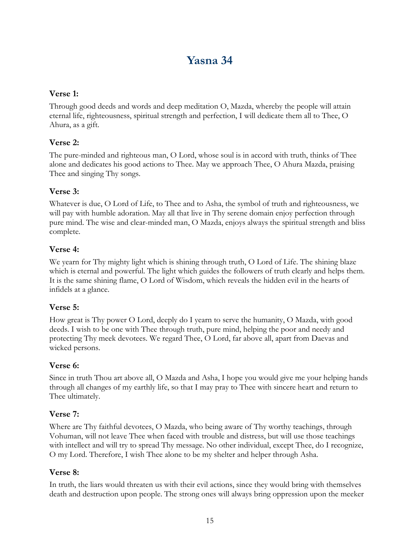### <span id="page-18-0"></span>**Verse 1:**

Through good deeds and words and deep meditation O, Mazda, whereby the people will attain eternal life, righteousness, spiritual strength and perfection, I will dedicate them all to Thee, O Ahura, as a gift.

# **Verse 2:**

The pure-minded and righteous man, O Lord, whose soul is in accord with truth, thinks of Thee alone and dedicates his good actions to Thee. May we approach Thee, O Ahura Mazda, praising Thee and singing Thy songs.

# **Verse 3:**

Whatever is due, O Lord of Life, to Thee and to Asha, the symbol of truth and righteousness, we will pay with humble adoration. May all that live in Thy serene domain enjoy perfection through pure mind. The wise and clear-minded man, O Mazda, enjoys always the spiritual strength and bliss complete.

# **Verse 4:**

We yearn for Thy mighty light which is shining through truth, O Lord of Life. The shining blaze which is eternal and powerful. The light which guides the followers of truth clearly and helps them. It is the same shining flame, O Lord of Wisdom, which reveals the hidden evil in the hearts of infidels at a glance.

# **Verse 5:**

How great is Thy power O Lord, deeply do I yearn to serve the humanity, O Mazda, with good deeds. I wish to be one with Thee through truth, pure mind, helping the poor and needy and protecting Thy meek devotees. We regard Thee, O Lord, far above all, apart from Daevas and wicked persons.

# **Verse 6:**

Since in truth Thou art above all, O Mazda and Asha, I hope you would give me your helping hands through all changes of my earthly life, so that I may pray to Thee with sincere heart and return to Thee ultimately.

# **Verse 7:**

Where are Thy faithful devotees, O Mazda, who being aware of Thy worthy teachings, through Vohuman, will not leave Thee when faced with trouble and distress, but will use those teachings with intellect and will try to spread Thy message. No other individual, except Thee, do I recognize, O my Lord. Therefore, I wish Thee alone to be my shelter and helper through Asha.

# **Verse 8:**

In truth, the liars would threaten us with their evil actions, since they would bring with themselves death and destruction upon people. The strong ones will always bring oppression upon the meeker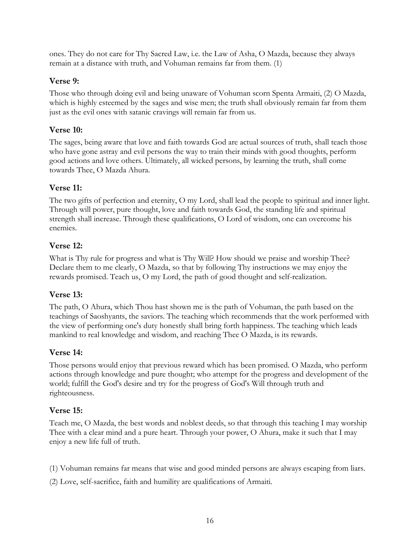ones. They do not care for Thy Sacred Law, i.e. the Law of Asha, O Mazda, because they always remain at a distance with truth, and Vohuman remains far from them. (1)

# **Verse 9:**

Those who through doing evil and being unaware of Vohuman scorn Spenta Armaiti, (2) O Mazda, which is highly esteemed by the sages and wise men; the truth shall obviously remain far from them just as the evil ones with satanic cravings will remain far from us.

# **Verse 10:**

The sages, being aware that love and faith towards God are actual sources of truth, shall teach those who have gone astray and evil persons the way to train their minds with good thoughts, perform good actions and love others. Ultimately, all wicked persons, by learning the truth, shall come towards Thee, O Mazda Ahura.

# **Verse 11:**

The two gifts of perfection and eternity, O my Lord, shall lead the people to spiritual and inner light. Through will power, pure thought, love and faith towards God, the standing life and spiritual strength shall increase. Through these qualifications, O Lord of wisdom, one can overcome his enemies.

# **Verse 12:**

What is Thy rule for progress and what is Thy Will? How should we praise and worship Thee? Declare them to me clearly, O Mazda, so that by following Thy instructions we may enjoy the rewards promised. Teach us, O my Lord, the path of good thought and self-realization.

#### **Verse 13:**

The path, O Ahura, which Thou hast shown me is the path of Vohuman, the path based on the teachings of Saoshyants, the saviors. The teaching which recommends that the work performed with the view of performing one's duty honestly shall bring forth happiness. The teaching which leads mankind to real knowledge and wisdom, and reaching Thee O Mazda, is its rewards.

#### **Verse 14:**

Those persons would enjoy that previous reward which has been promised. O Mazda, who perform actions through knowledge and pure thought; who attempt for the progress and development of the world; fulfill the God's desire and try for the progress of God's Will through truth and righteousness.

#### **Verse 15:**

Teach me, O Mazda, the best words and noblest deeds, so that through this teaching I may worship Thee with a clear mind and a pure heart. Through your power, O Ahura, make it such that I may enjoy a new life full of truth.

- (1) Vohuman remains far means that wise and good minded persons are always escaping from liars.
- (2) Love, self-sacrifice, faith and humility are qualifications of Armaiti.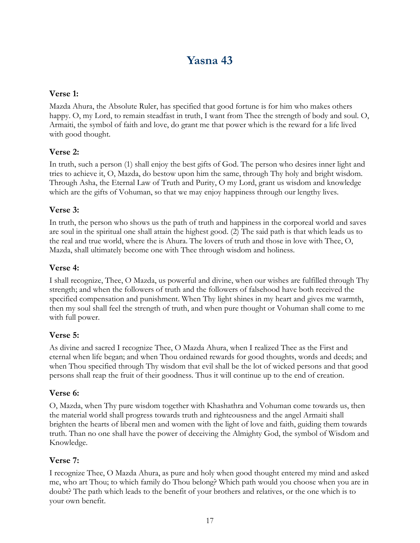### <span id="page-20-0"></span>**Verse 1:**

Mazda Ahura, the Absolute Ruler, has specified that good fortune is for him who makes others happy. O, my Lord, to remain steadfast in truth, I want from Thee the strength of body and soul. O, Armaiti, the symbol of faith and love, do grant me that power which is the reward for a life lived with good thought.

# **Verse 2:**

In truth, such a person (1) shall enjoy the best gifts of God. The person who desires inner light and tries to achieve it, O, Mazda, do bestow upon him the same, through Thy holy and bright wisdom. Through Asha, the Eternal Law of Truth and Purity, O my Lord, grant us wisdom and knowledge which are the gifts of Vohuman, so that we may enjoy happiness through our lengthy lives.

#### **Verse 3:**

In truth, the person who shows us the path of truth and happiness in the corporeal world and saves are soul in the spiritual one shall attain the highest good. (2) The said path is that which leads us to the real and true world, where the is Ahura. The lovers of truth and those in love with Thee, O, Mazda, shall ultimately become one with Thee through wisdom and holiness.

# **Verse 4:**

I shall recognize, Thee, O Mazda, us powerful and divine, when our wishes are fulfilled through Thy strength; and when the followers of truth and the followers of falsehood have both received the specified compensation and punishment. When Thy light shines in my heart and gives me warmth, then my soul shall feel the strength of truth, and when pure thought or Vohuman shall come to me with full power.

# **Verse 5:**

As divine and sacred I recognize Thee, O Mazda Ahura, when I realized Thee as the First and eternal when life began; and when Thou ordained rewards for good thoughts, words and deeds; and when Thou specified through Thy wisdom that evil shall be the lot of wicked persons and that good persons shall reap the fruit of their goodness. Thus it will continue up to the end of creation.

#### **Verse 6:**

O, Mazda, when Thy pure wisdom together with Khashathra and Vohuman come towards us, then the material world shall progress towards truth and righteousness and the angel Armaiti shall brighten the hearts of liberal men and women with the light of love and faith, guiding them towards truth. Than no one shall have the power of deceiving the Almighty God, the symbol of Wisdom and Knowledge.

#### **Verse 7:**

I recognize Thee, O Mazda Ahura, as pure and holy when good thought entered my mind and asked me, who art Thou; to which family do Thou belong? Which path would you choose when you are in doubt? The path which leads to the benefit of your brothers and relatives, or the one which is to your own benefit.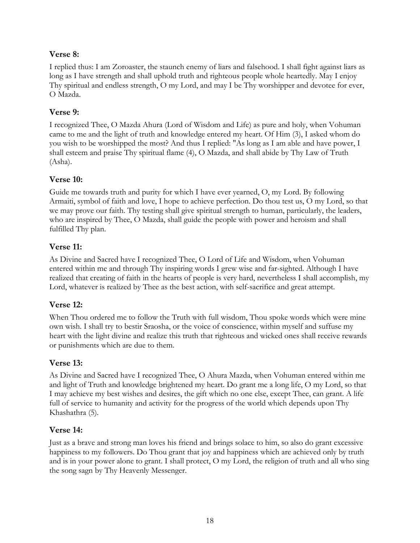# **Verse 8:**

I replied thus: I am Zoroaster, the staunch enemy of liars and falsehood. I shall fight against liars as long as I have strength and shall uphold truth and righteous people whole heartedly. May I enjoy Thy spiritual and endless strength, O my Lord, and may I be Thy worshipper and devotee for ever, O Mazda.

# **Verse 9:**

I recognized Thee, O Mazda Ahura (Lord of Wisdom and Life) as pure and holy, when Vohuman came to me and the light of truth and knowledge entered my heart. Of Him (3), I asked whom do you wish to be worshipped the most? And thus I replied: "As long as I am able and have power, I shall esteem and praise Thy spiritual flame (4), O Mazda, and shall abide by Thy Law of Truth (Asha).

# **Verse 10:**

Guide me towards truth and purity for which I have ever yearned, O, my Lord. By following Armaiti, symbol of faith and love, I hope to achieve perfection. Do thou test us, O my Lord, so that we may prove our faith. Thy testing shall give spiritual strength to human, particularly, the leaders, who are inspired by Thee, O Mazda, shall guide the people with power and heroism and shall fulfilled Thy plan.

# **Verse 11:**

As Divine and Sacred have I recognized Thee, O Lord of Life and Wisdom, when Vohuman entered within me and through Thy inspiring words I grew wise and far-sighted. Although I have realized that creating of faith in the hearts of people is very hard, nevertheless I shall accomplish, my Lord, whatever is realized by Thee as the best action, with self-sacrifice and great attempt.

# **Verse 12:**

When Thou ordered me to follow the Truth with full wisdom, Thou spoke words which were mine own wish. I shall try to bestir Sraosha, or the voice of conscience, within myself and suffuse my heart with the light divine and realize this truth that righteous and wicked ones shall receive rewards or punishments which are due to them.

#### **Verse 13:**

As Divine and Sacred have I recognized Thee, O Ahura Mazda, when Vohuman entered within me and light of Truth and knowledge brightened my heart. Do grant me a long life, O my Lord, so that I may achieve my best wishes and desires, the gift which no one else, except Thee, can grant. A life full of service to humanity and activity for the progress of the world which depends upon Thy Khashathra (5).

#### **Verse 14:**

Just as a brave and strong man loves his friend and brings solace to him, so also do grant excessive happiness to my followers. Do Thou grant that joy and happiness which are achieved only by truth and is in your power alone to grant. I shall protect, O my Lord, the religion of truth and all who sing the song sagn by Thy Heavenly Messenger.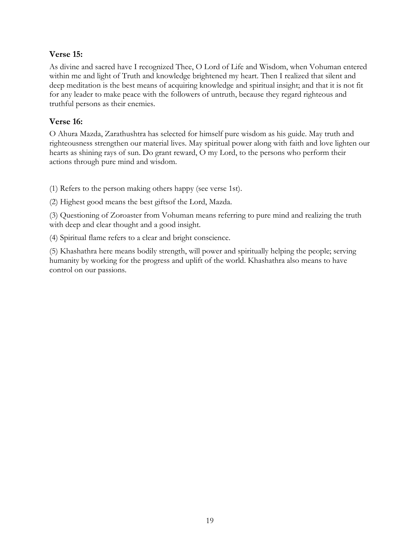### **Verse 15:**

As divine and sacred have I recognized Thee, O Lord of Life and Wisdom, when Vohuman entered within me and light of Truth and knowledge brightened my heart. Then I realized that silent and deep meditation is the best means of acquiring knowledge and spiritual insight; and that it is not fit for any leader to make peace with the followers of untruth, because they regard righteous and truthful persons as their enemies.

### **Verse 16:**

O Ahura Mazda, Zarathushtra has selected for himself pure wisdom as his guide. May truth and righteousness strengthen our material lives. May spiritual power along with faith and love lighten our hearts as shining rays of sun. Do grant reward, O my Lord, to the persons who perform their actions through pure mind and wisdom.

(1) Refers to the person making others happy (see verse 1st).

(2) Highest good means the best giftsof the Lord, Mazda.

(3) Questioning of Zoroaster from Vohuman means referring to pure mind and realizing the truth with deep and clear thought and a good insight.

(4) Spiritual flame refers to a clear and bright conscience.

(5) Khashathra here means bodily strength, will power and spiritually helping the people; serving humanity by working for the progress and uplift of the world. Khashathra also means to have control on our passions.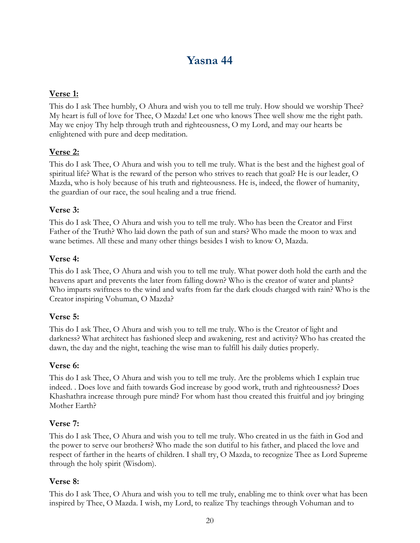# <span id="page-23-0"></span>**Verse 1:**

This do I ask Thee humbly, O Ahura and wish you to tell me truly. How should we worship Thee? My heart is full of love for Thee, O Mazda! Let one who knows Thee well show me the right path. May we enjoy Thy help through truth and righteousness, O my Lord, and may our hearts be enlightened with pure and deep meditation.

# **Verse 2:**

This do I ask Thee, O Ahura and wish you to tell me truly. What is the best and the highest goal of spiritual life? What is the reward of the person who strives to reach that goal? He is our leader, O Mazda, who is holy because of his truth and righteousness. He is, indeed, the flower of humanity, the guardian of our race, the soul healing and a true friend.

#### **Verse 3:**

This do I ask Thee, O Ahura and wish you to tell me truly. Who has been the Creator and First Father of the Truth? Who laid down the path of sun and stars? Who made the moon to wax and wane betimes. All these and many other things besides I wish to know O, Mazda.

#### **Verse 4:**

This do I ask Thee, O Ahura and wish you to tell me truly. What power doth hold the earth and the heavens apart and prevents the later from falling down? Who is the creator of water and plants? Who imparts swiftness to the wind and wafts from far the dark clouds charged with rain? Who is the Creator inspiring Vohuman, O Mazda?

#### **Verse 5:**

This do I ask Thee, O Ahura and wish you to tell me truly. Who is the Creator of light and darkness? What architect has fashioned sleep and awakening, rest and activity? Who has created the dawn, the day and the night, teaching the wise man to fulfill his daily duties properly.

#### **Verse 6:**

This do I ask Thee, O Ahura and wish you to tell me truly. Are the problems which I explain true indeed. . Does love and faith towards God increase by good work, truth and righteousness? Does Khashathra increase through pure mind? For whom hast thou created this fruitful and joy bringing Mother Earth?

#### **Verse 7:**

This do I ask Thee, O Ahura and wish you to tell me truly. Who created in us the faith in God and the power to serve our brothers? Who made the son dutiful to his father, and placed the love and respect of farther in the hearts of children. I shall try, O Mazda, to recognize Thee as Lord Supreme through the holy spirit (Wisdom).

#### **Verse 8:**

This do I ask Thee, O Ahura and wish you to tell me truly, enabling me to think over what has been inspired by Thee, O Mazda. I wish, my Lord, to realize Thy teachings through Vohuman and to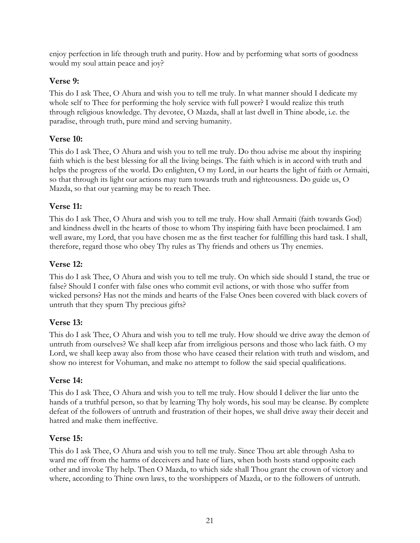enjoy perfection in life through truth and purity. How and by performing what sorts of goodness would my soul attain peace and joy?

# **Verse 9:**

This do I ask Thee, O Ahura and wish you to tell me truly. In what manner should I dedicate my whole self to Thee for performing the holy service with full power? I would realize this truth through religious knowledge. Thy devotee, O Mazda, shall at last dwell in Thine abode, i.e. the paradise, through truth, pure mind and serving humanity.

# **Verse 10:**

This do I ask Thee, O Ahura and wish you to tell me truly. Do thou advise me about thy inspiring faith which is the best blessing for all the living beings. The faith which is in accord with truth and helps the progress of the world. Do enlighten, O my Lord, in our hearts the light of faith or Armaiti, so that through its light our actions may turn towards truth and righteousness. Do guide us, O Mazda, so that our yearning may be to reach Thee.

# **Verse 11:**

This do I ask Thee, O Ahura and wish you to tell me truly. How shall Armaiti (faith towards God) and kindness dwell in the hearts of those to whom Thy inspiring faith have been proclaimed. I am well aware, my Lord, that you have chosen me as the first teacher for fulfilling this hard task. I shall, therefore, regard those who obey Thy rules as Thy friends and others us Thy enemies.

# **Verse 12:**

This do I ask Thee, O Ahura and wish you to tell me truly. On which side should I stand, the true or false? Should I confer with false ones who commit evil actions, or with those who suffer from wicked persons? Has not the minds and hearts of the False Ones been covered with black covers of untruth that they spurn Thy precious gifts?

# **Verse 13:**

This do I ask Thee, O Ahura and wish you to tell me truly. How should we drive away the demon of untruth from ourselves? We shall keep afar from irreligious persons and those who lack faith. O my Lord, we shall keep away also from those who have ceased their relation with truth and wisdom, and show no interest for Vohuman, and make no attempt to follow the said special qualifications.

#### **Verse 14:**

This do I ask Thee, O Ahura and wish you to tell me truly. How should I deliver the liar unto the hands of a truthful person, so that by learning Thy holy words, his soul may be cleanse. By complete defeat of the followers of untruth and frustration of their hopes, we shall drive away their deceit and hatred and make them ineffective.

#### **Verse 15:**

This do I ask Thee, O Ahura and wish you to tell me truly. Since Thou art able through Asha to ward me off from the harms of deceivers and hate of liars, when both hosts stand opposite each other and invoke Thy help. Then O Mazda, to which side shall Thou grant the crown of victory and where, according to Thine own laws, to the worshippers of Mazda, or to the followers of untruth.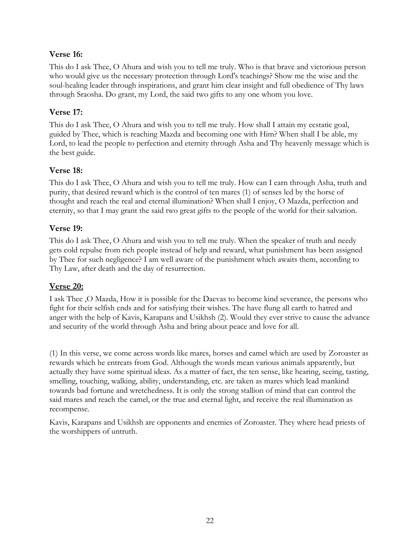# **Verse 16:**

This do I ask Thee, O Ahura and wish you to tell me truly. Who is that brave and victorious person who would give us the necessary protection through Lord's teachings? Show me the wise and the soul-healing leader through inspirations, and grant him clear insight and full obedience of Thy laws through Sraosha. Do grant, my Lord, the said two gifts to any one whom you love.

# **Verse 17:**

This do I ask Thee, O Ahura and wish you to tell me truly. How shall I attain my ecstatic goal, guided by Thee, which is reaching Mazda and becoming one with Him? When shall I be able, my Lord, to lead the people to perfection and eternity through Asha and Thy heavenly message which is the best guide.

#### **Verse 18:**

This do I ask Thee, O Ahura and wish you to tell me truly. How can I earn through Asha, truth and purity, that desired reward which is the control of ten mares (1) of senses led by the horse of thought and reach the real and eternal illumination? When shall I enjoy, O Mazda, perfection and eternity, so that I may grant the said two great gifts to the people of the world for their salvation.

#### **Verse 19:**

This do I ask Thee, O Ahura and wish you to tell me truly. When the speaker of truth and needy gets cold repulse from rich people instead of help and reward, what punishment has been assigned by Thee for such negligence? I am well aware of the punishment which awaits them, according to Thy Law, after death and the day of resurrection.

#### **Verse 20:**

I ask Thee ,O Mazda, How it is possible for the Daevas to become kind severance, the persons who fight for their selfish ends and for satisfying their wishes. The have flung all earth to hatred and anger with the help of Kavis, Karapans and Usikhsh (2). Would they ever strive to cause the advance and security of the world through Asha and bring about peace and love for all.

(1) In this verse, we come across words like mares, horses and camel which are used by Zoroaster as rewards which he entreats from God. Although the words mean various animals apparently, but actually they have some spiritual ideas. As a matter of fact, the ten sense, like hearing, seeing, tasting, smelling, touching, walking, ability, understanding, etc. are taken as mares which lead mankind towards bad fortune and wretchedness. It is only the strong stallion of mind that can control the said mares and reach the camel, or the true and eternal light, and receive the real illumination as recompense.

Kavis, Karapans and Usikhsh are opponents and enemies of Zoroaster. They where head priests of the worshippers of untruth.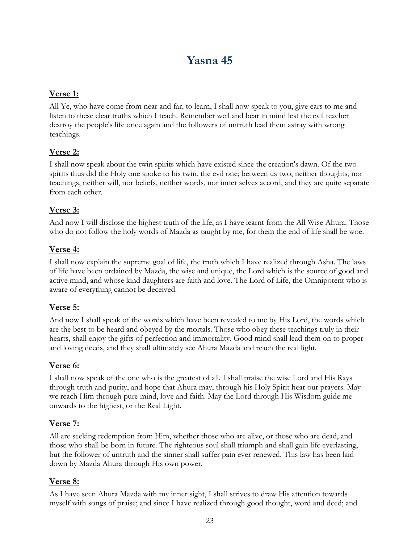# <span id="page-26-0"></span>**Verse 1:**

All Ye, who have come from near and far, to learn, I shall now speak to you, give ears to me and listen to these clear truths which I teach. Remember well and bear in mind lest the evil teacher destroy the people's life once again and the followers of untruth lead them astray with wrong teachings.

# **Verse 2:**

I shall now speak about the twin spirits which have existed since the creation's dawn. Of the two spirits thus did the Holy one spoke to his twin, the evil one; between us two, neither thoughts, nor teachings, neither will, nor beliefs, neither words, nor inner selves accord, and they are quite separate from each other.

#### **Verse 3:**

And now I will disclose the highest truth of the life, as I have learnt from the All Wise Ahura. Those who do not follow the holy words of Mazda as taught by me, for them the end of life shall be woe.

#### **Verse 4:**

I shall now explain the supreme goal of life, the truth which I have realized through Asha. The laws of life have been ordained by Mazda, the wise and unique, the Lord which is the source of good and active mind, and whose kind daughters are faith and love. The Lord of Life, the Omnipotent who is aware of everything cannot be deceived.

#### **Verse 5:**

And now I shall speak of the words which have been revealed to me by His Lord, the words which are the best to be heard and obeyed by the mortals. Those who obey these teachings truly in their hearts, shall enjoy the gifts of perfection and immortality. Good mind shall lead them on to proper and loving deeds, and they shall ultimately see Ahura Mazda and reach the real light.

#### **Verse 6:**

I shall now speak of the one who is the greatest of all. I shall praise the wise Lord and His Rays through truth and purity, and hope that Ahura may, through his Holy Spirit hear our prayers. May we reach Him through pure mind, love and faith. May the Lord through His Wisdom guide me onwards to the highest, or the Real Light.

#### **Verse 7:**

All are seeking redemption from Him, whether those who are alive, or those who are dead, and those who shall be born in future. The righteous soul shall triumph and shall gain life everlasting, but the follower of untruth and the sinner shall suffer pain ever renewed. This law has been laid down by Mazda Ahura through His own power.

#### **Verse 8:**

As I have seen Ahura Mazda with my inner sight, I shall strives to draw His attention towards myself with songs of praise; and since I have realized through good thought, word and deed; and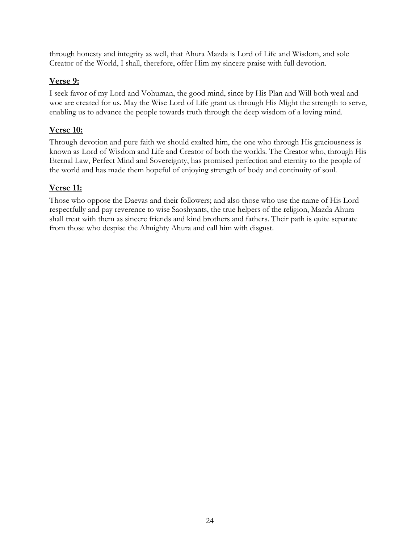through honesty and integrity as well, that Ahura Mazda is Lord of Life and Wisdom, and sole Creator of the World, I shall, therefore, offer Him my sincere praise with full devotion.

# **Verse 9:**

I seek favor of my Lord and Vohuman, the good mind, since by His Plan and Will both weal and woe are created for us. May the Wise Lord of Life grant us through His Might the strength to serve, enabling us to advance the people towards truth through the deep wisdom of a loving mind.

# **Verse 10:**

Through devotion and pure faith we should exalted him, the one who through His graciousness is known as Lord of Wisdom and Life and Creator of both the worlds. The Creator who, through His Eternal Law, Perfect Mind and Sovereignty, has promised perfection and eternity to the people of the world and has made them hopeful of enjoying strength of body and continuity of soul.

# **Verse 11:**

Those who oppose the Daevas and their followers; and also those who use the name of His Lord respectfully and pay reverence to wise Saoshyants, the true helpers of the religion, Mazda Ahura shall treat with them as sincere friends and kind brothers and fathers. Their path is quite separate from those who despise the Almighty Ahura and call him with disgust.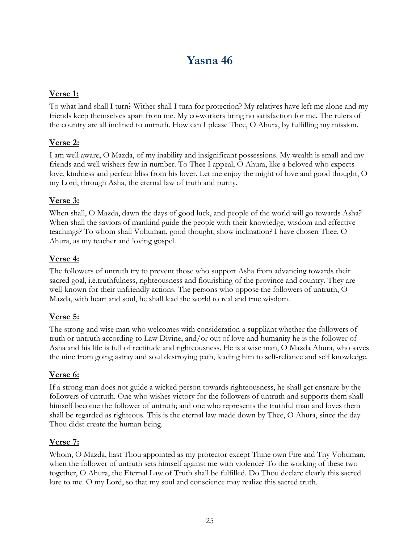# <span id="page-28-0"></span>**Verse 1:**

To what land shall I turn? Wither shall I turn for protection? My relatives have left me alone and my friends keep themselves apart from me. My co-workers bring no satisfaction for me. The rulers of the country are all inclined to untruth. How can I please Thee, O Ahura, by fulfilling my mission.

# **Verse 2:**

I am well aware, O Mazda, of my inability and insignificant possessions. My wealth is small and my friends and well wishers few in number. To Thee I appeal, O Ahura, like a beloved who expects love, kindness and perfect bliss from his lover. Let me enjoy the might of love and good thought, O my Lord, through Asha, the eternal law of truth and purity.

# **Verse 3:**

When shall, O Mazda, dawn the days of good luck, and people of the world will go towards Asha? When shall the saviors of mankind guide the people with their knowledge, wisdom and effective teachings? To whom shall Vohuman, good thought, show inclination? I have chosen Thee, O Ahura, as my teacher and loving gospel.

# **Verse 4:**

The followers of untruth try to prevent those who support Asha from advancing towards their sacred goal, i.e.truthfulness, righteousness and flourishing of the province and country. They are well-known for their unfriendly actions. The persons who oppose the followers of untruth, O Mazda, with heart and soul, he shall lead the world to real and true wisdom.

# **Verse 5:**

The strong and wise man who welcomes with consideration a suppliant whether the followers of truth or untruth according to Law Divine, and/or out of love and humanity he is the follower of Asha and his life is full of rectitude and righteousness. He is a wise man, O Mazda Ahura, who saves the nine from going astray and soul destroying path, leading him to self-reliance and self knowledge.

# **Verse 6:**

If a strong man does not guide a wicked person towards righteousness, he shall get ensnare by the followers of untruth. One who wishes victory for the followers of untruth and supports them shall himself become the follower of untruth; and one who represents the truthful man and loves them shall be regarded as righteous. This is the eternal law made down by Thee, O Ahura, since the day Thou didst create the human being.

# **Verse 7:**

Whom, O Mazda, hast Thou appointed as my protector except Thine own Fire and Thy Vohuman, when the follower of untruth sets himself against me with violence? To the working of these two together, O Ahura, the Eternal Law of Truth shall be fulfilled. Do Thou declare clearly this sacred lore to me. O my Lord, so that my soul and conscience may realize this sacred truth.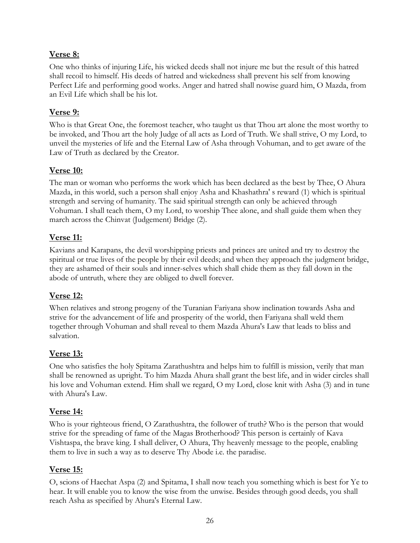# **Verse 8:**

One who thinks of injuring Life, his wicked deeds shall not injure me but the result of this hatred shall recoil to himself. His deeds of hatred and wickedness shall prevent his self from knowing Perfect Life and performing good works. Anger and hatred shall nowise guard him, O Mazda, from an Evil Life which shall be his lot.

# **Verse 9:**

Who is that Great One, the foremost teacher, who taught us that Thou art alone the most worthy to be invoked, and Thou art the holy Judge of all acts as Lord of Truth. We shall strive, O my Lord, to unveil the mysteries of life and the Eternal Law of Asha through Vohuman, and to get aware of the Law of Truth as declared by the Creator.

#### **Verse 10:**

The man or woman who performs the work which has been declared as the best by Thee, O Ahura Mazda, in this world, such a person shall enjoy Asha and Khashathra' s reward (1) which is spiritual strength and serving of humanity. The said spiritual strength can only be achieved through Vohuman. I shall teach them, O my Lord, to worship Thee alone, and shall guide them when they march across the Chinvat (Judgement) Bridge (2).

# **Verse 11:**

Kavians and Karapans, the devil worshipping priests and princes are united and try to destroy the spiritual or true lives of the people by their evil deeds; and when they approach the judgment bridge, they are ashamed of their souls and inner-selves which shall chide them as they fall down in the abode of untruth, where they are obliged to dwell forever.

# **Verse 12:**

When relatives and strong progeny of the Turanian Fariyana show inclination towards Asha and strive for the advancement of life and prosperity of the world, then Fariyana shall weld them together through Vohuman and shall reveal to them Mazda Ahura's Law that leads to bliss and salvation.

#### **Verse 13:**

One who satisfies the holy Spitama Zarathushtra and helps him to fulfill is mission, verily that man shall be renowned as upright. To him Mazda Ahura shall grant the best life, and in wider circles shall his love and Vohuman extend. Him shall we regard, O my Lord, close knit with Asha (3) and in tune with Ahura's Law.

#### **Verse 14:**

Who is your righteous friend, O Zarathushtra, the follower of truth? Who is the person that would strive for the spreading of fame of the Magas Brotherhood? This person is certainly of Kava Vishtaspa, the brave king. I shall deliver, O Ahura, Thy heavenly message to the people, enabling them to live in such a way as to deserve Thy Abode i.e. the paradise.

#### **Verse 15:**

O, scions of Haechat Aspa (2) and Spitama, I shall now teach you something which is best for Ye to hear. It will enable you to know the wise from the unwise. Besides through good deeds, you shall reach Asha as specified by Ahura's Eternal Law.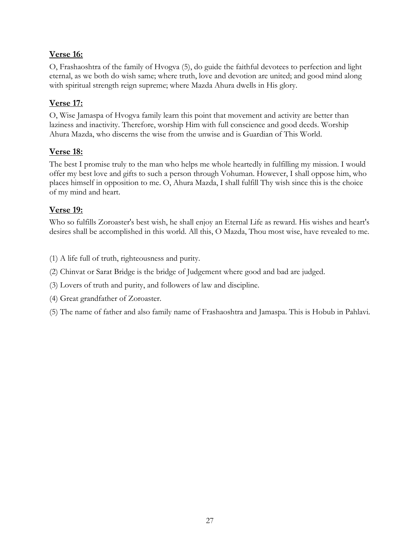# **Verse 16:**

O, Frashaoshtra of the family of Hvogva (5), do guide the faithful devotees to perfection and light eternal, as we both do wish same; where truth, love and devotion are united; and good mind along with spiritual strength reign supreme; where Mazda Ahura dwells in His glory.

# **Verse 17:**

O, Wise Jamaspa of Hvogva family learn this point that movement and activity are better than laziness and inactivity. Therefore, worship Him with full conscience and good deeds. Worship Ahura Mazda, who discerns the wise from the unwise and is Guardian of This World.

# **Verse 18:**

The best I promise truly to the man who helps me whole heartedly in fulfilling my mission. I would offer my best love and gifts to such a person through Vohuman. However, I shall oppose him, who places himself in opposition to me. O, Ahura Mazda, I shall fulfill Thy wish since this is the choice of my mind and heart.

# **Verse 19:**

Who so fulfills Zoroaster's best wish, he shall enjoy an Eternal Life as reward. His wishes and heart's desires shall be accomplished in this world. All this, O Mazda, Thou most wise, have revealed to me.

- (1) A life full of truth, righteousness and purity.
- (2) Chinvat or Sarat Bridge is the bridge of Judgement where good and bad are judged.
- (3) Lovers of truth and purity, and followers of law and discipline.
- (4) Great grandfather of Zoroaster.
- (5) The name of father and also family name of Frashaoshtra and Jamaspa. This is Hobub in Pahlavi.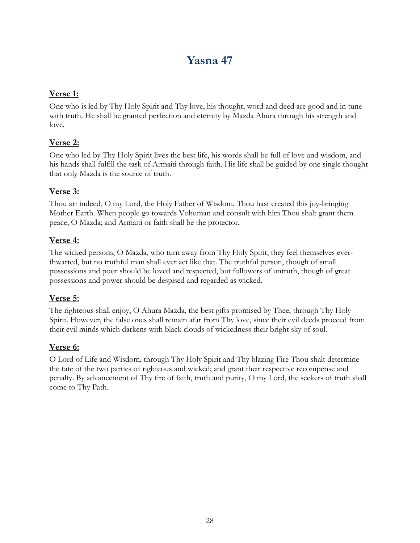# <span id="page-31-0"></span>**Verse 1:**

One who is led by Thy Holy Spirit and Thy love, his thought, word and deed are good and in tune with truth. He shall be granted perfection and eternity by Mazda Ahura through his strength and love.

# **Verse 2:**

One who led by Thy Holy Spirit lives the best life, his words shall be full of love and wisdom, and his hands shall fulfill the task of Armaiti through faith. His life shall be guided by one single thought that only Mazda is the source of truth.

# **Verse 3:**

Thou art indeed, O my Lord, the Holy Father of Wisdom. Thou hast created this joy-bringing Mother Earth. When people go towards Vohuman and consult with him Thou shalt grant them peace, O Mazda; and Armaiti or faith shall be the protector.

# **Verse 4:**

The wicked persons, O Mazda, who turn away from Thy Holy Spirit, they feel themselves everthwarted, but no truthful man shall ever act like that. The truthful person, though of small possessions and poor should be loved and respected, but followers of untruth, though of great possessions and power should be despised and regarded as wicked.

#### **Verse 5:**

The righteous shall enjoy, O Ahura Mazda, the best gifts promised by Thee, through Thy Holy Spirit. However, the false ones shall remain afar from Thy love, since their evil deeds proceed from their evil minds which darkens with black clouds of wickedness their bright sky of soul.

#### **Verse 6:**

O Lord of Life and Wisdom, through Thy Holy Spirit and Thy blazing Fire Thou shalt determine the fate of the two parties of righteous and wicked; and grant their respective recompense and penalty. By advancement of Thy fire of faith, truth and purity, O my Lord, the seekers of truth shall come to Thy Path.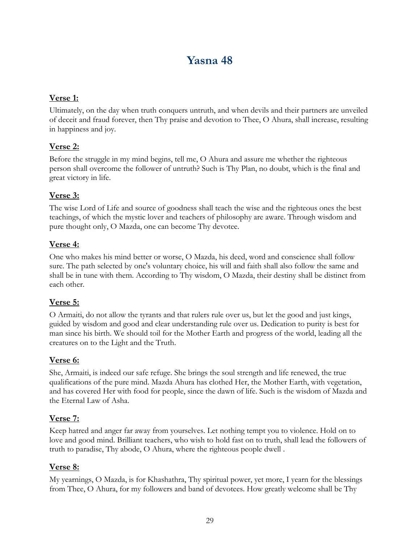# <span id="page-32-0"></span>**Verse 1:**

Ultimately, on the day when truth conquers untruth, and when devils and their partners are unveiled of deceit and fraud forever, then Thy praise and devotion to Thee, O Ahura, shall increase, resulting in happiness and joy.

# **Verse 2:**

Before the struggle in my mind begins, tell me, O Ahura and assure me whether the righteous person shall overcome the follower of untruth? Such is Thy Plan, no doubt, which is the final and great victory in life.

# **Verse 3:**

The wise Lord of Life and source of goodness shall teach the wise and the righteous ones the best teachings, of which the mystic lover and teachers of philosophy are aware. Through wisdom and pure thought only, O Mazda, one can become Thy devotee.

# **Verse 4:**

One who makes his mind better or worse, O Mazda, his deed, word and conscience shall follow sure. The path selected by one's voluntary choice, his will and faith shall also follow the same and shall be in tune with them. According to Thy wisdom, O Mazda, their destiny shall be distinct from each other.

#### **Verse 5:**

O Armaiti, do not allow the tyrants and that rulers rule over us, but let the good and just kings, guided by wisdom and good and clear understanding rule over us. Dedication to purity is best for man since his birth. We should toil for the Mother Earth and progress of the world, leading all the creatures on to the Light and the Truth.

#### **Verse 6:**

She, Armaiti, is indeed our safe refuge. She brings the soul strength and life renewed, the true qualifications of the pure mind. Mazda Ahura has clothed Her, the Mother Earth, with vegetation, and has covered Her with food for people, since the dawn of life. Such is the wisdom of Mazda and the Eternal Law of Asha.

#### **Verse 7:**

Keep hatred and anger far away from yourselves. Let nothing tempt you to violence. Hold on to love and good mind. Brilliant teachers, who wish to hold fast on to truth, shall lead the followers of truth to paradise, Thy abode, O Ahura, where the righteous people dwell .

# **Verse 8:**

My yearnings, O Mazda, is for Khashathra, Thy spiritual power, yet more, I yearn for the blessings from Thee, O Ahura, for my followers and band of devotees. How greatly welcome shall be Thy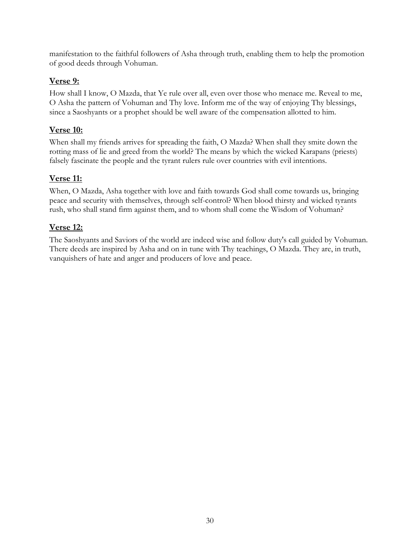manifestation to the faithful followers of Asha through truth, enabling them to help the promotion of good deeds through Vohuman.

# **Verse 9:**

How shall I know, O Mazda, that Ye rule over all, even over those who menace me. Reveal to me, O Asha the pattern of Vohuman and Thy love. Inform me of the way of enjoying Thy blessings, since a Saoshyants or a prophet should be well aware of the compensation allotted to him.

# **Verse 10:**

When shall my friends arrives for spreading the faith, O Mazda? When shall they smite down the rotting mass of lie and greed from the world? The means by which the wicked Karapans (priests) falsely fascinate the people and the tyrant rulers rule over countries with evil intentions.

# **Verse 11:**

When, O Mazda, Asha together with love and faith towards God shall come towards us, bringing peace and security with themselves, through self-control? When blood thirsty and wicked tyrants rush, who shall stand firm against them, and to whom shall come the Wisdom of Vohuman?

# **Verse 12:**

The Saoshyants and Saviors of the world are indeed wise and follow duty's call guided by Vohuman. There deeds are inspired by Asha and on in tune with Thy teachings, O Mazda. They are, in truth, vanquishers of hate and anger and producers of love and peace.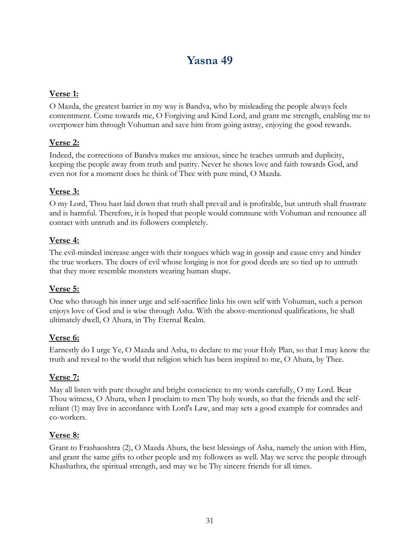# <span id="page-34-0"></span>**Verse 1:**

O Mazda, the greatest barrier in my way is Bandva, who by misleading the people always feels contentment. Come towards me, O Forgiving and Kind Lord, and grant me strength, enabling me to overpower him through Vohuman and save him from going astray, enjoying the good rewards.

# **Verse 2:**

Indeed, the corrections of Bandva makes me anxious, since he teaches untruth and duplicity, keeping the people away from truth and purity. Never he shows love and faith towards God, and even not for a moment does he think of Thee with pure mind, O Mazda.

# **Verse 3:**

O my Lord, Thou hast laid down that truth shall prevail and is profitable, but untruth shall frustrate and is harmful. Therefore, it is hoped that people would commune with Vohuman and renounce all contact with untruth and its followers completely.

# **Verse 4:**

The evil-minded increase anger with their tongues which wag in gossip and cause envy and hinder the true workers. The doers of evil whose longing is not for good deeds are so tied up to untruth that they more resemble monsters wearing human shape.

#### **Verse 5:**

One who through his inner urge and self-sacrifice links his own self with Vohuman, such a person enjoys love of God and is wise through Asha. With the above-mentioned qualifications, he shall ultimately dwell, O Ahura, in Thy Eternal Realm.

#### **Verse 6:**

Earnestly do I urge Ye, O Mazda and Asha, to declare to me your Holy Plan, so that I may know the truth and reveal to the world that religion which has been inspired to me, O Ahura, by Thee.

#### **Verse 7:**

May all listen with pure thought and bright conscience to my words carefully, O my Lord. Bear Thou witness, O Ahura, when I proclaim to men Thy holy words, so that the friends and the selfreliant (1) may live in accordance with Lord's Law, and may sets a good example for comrades and co-workers.

#### **Verse 8:**

Grant to Frashaoshtra (2), O Mazda Ahura, the best blessings of Asha, namely the union with Him, and grant the same gifts to other people and my followers as well. May we serve the people through Khashathra, the spiritual strength, and may we be Thy sincere friends for all times.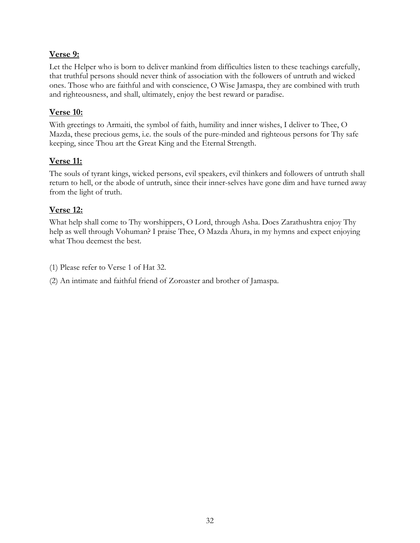# **Verse 9:**

Let the Helper who is born to deliver mankind from difficulties listen to these teachings carefully, that truthful persons should never think of association with the followers of untruth and wicked ones. Those who are faithful and with conscience, O Wise Jamaspa, they are combined with truth and righteousness, and shall, ultimately, enjoy the best reward or paradise.

# **Verse 10:**

With greetings to Armaiti, the symbol of faith, humility and inner wishes, I deliver to Thee, O Mazda, these precious gems, i.e. the souls of the pure-minded and righteous persons for Thy safe keeping, since Thou art the Great King and the Eternal Strength.

# **Verse 11:**

The souls of tyrant kings, wicked persons, evil speakers, evil thinkers and followers of untruth shall return to hell, or the abode of untruth, since their inner-selves have gone dim and have turned away from the light of truth.

# **Verse 12:**

What help shall come to Thy worshippers, O Lord, through Asha. Does Zarathushtra enjoy Thy help as well through Vohuman? I praise Thee, O Mazda Ahura, in my hymns and expect enjoying what Thou deemest the best.

- (1) Please refer to Verse 1 of Hat 32.
- (2) An intimate and faithful friend of Zoroaster and brother of Jamaspa.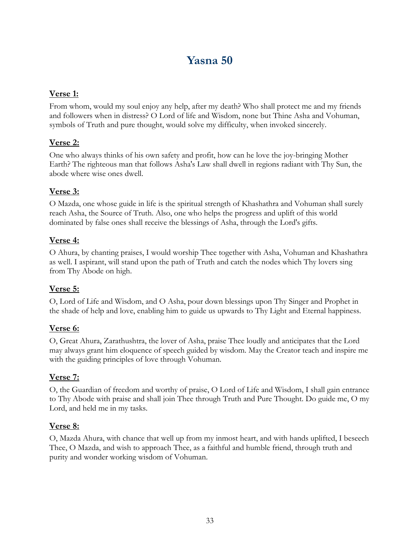# <span id="page-36-0"></span>**Verse 1:**

From whom, would my soul enjoy any help, after my death? Who shall protect me and my friends and followers when in distress? O Lord of life and Wisdom, none but Thine Asha and Vohuman, symbols of Truth and pure thought, would solve my difficulty, when invoked sincerely.

# **Verse 2:**

One who always thinks of his own safety and profit, how can he love the joy-bringing Mother Earth? The righteous man that follows Asha's Law shall dwell in regions radiant with Thy Sun, the abode where wise ones dwell.

# **Verse 3:**

O Mazda, one whose guide in life is the spiritual strength of Khashathra and Vohuman shall surely reach Asha, the Source of Truth. Also, one who helps the progress and uplift of this world dominated by false ones shall receive the blessings of Asha, through the Lord's gifts.

# **Verse 4:**

O Ahura, by chanting praises, I would worship Thee together with Asha, Vohuman and Khashathra as well. I aspirant, will stand upon the path of Truth and catch the nodes which Thy lovers sing from Thy Abode on high.

# **Verse 5:**

O, Lord of Life and Wisdom, and O Asha, pour down blessings upon Thy Singer and Prophet in the shade of help and love, enabling him to guide us upwards to Thy Light and Eternal happiness.

#### **Verse 6:**

O, Great Ahura, Zarathushtra, the lover of Asha, praise Thee loudly and anticipates that the Lord may always grant him eloquence of speech guided by wisdom. May the Creator teach and inspire me with the guiding principles of love through Vohuman.

#### **Verse 7:**

O, the Guardian of freedom and worthy of praise, O Lord of Life and Wisdom, I shall gain entrance to Thy Abode with praise and shall join Thee through Truth and Pure Thought. Do guide me, O my Lord, and held me in my tasks.

#### **Verse 8:**

O, Mazda Ahura, with chance that well up from my inmost heart, and with hands uplifted, I beseech Thee, O Mazda, and wish to approach Thee, as a faithful and humble friend, through truth and purity and wonder working wisdom of Vohuman.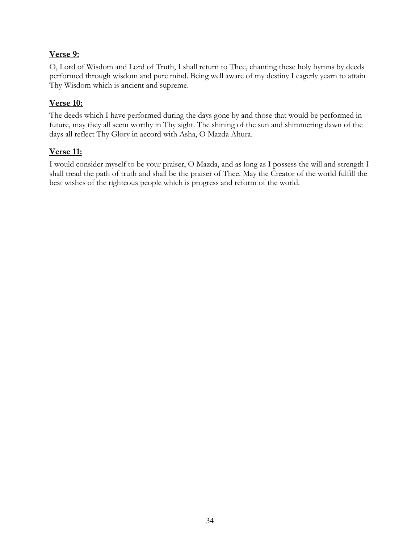# **Verse 9:**

O, Lord of Wisdom and Lord of Truth, I shall return to Thee, chanting these holy hymns by deeds performed through wisdom and pure mind. Being well aware of my destiny I eagerly yearn to attain Thy Wisdom which is ancient and supreme.

# **Verse 10:**

The deeds which I have performed during the days gone by and those that would be performed in future, may they all seem worthy in Thy sight. The shining of the sun and shimmering dawn of the days all reflect Thy Glory in accord with Asha, O Mazda Ahura.

# **Verse 11:**

I would consider myself to be your praiser, O Mazda, and as long as I possess the will and strength I shall tread the path of truth and shall be the praiser of Thee. May the Creator of the world fulfill the best wishes of the righteous people which is progress and reform of the world.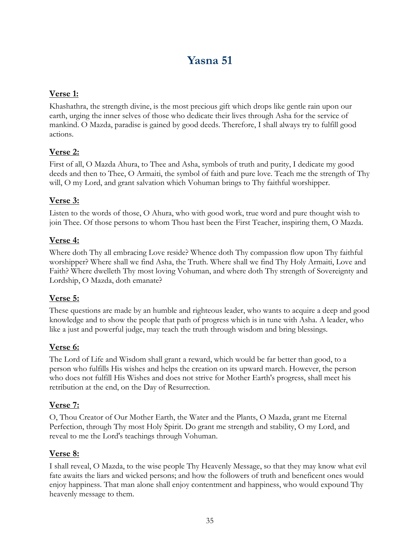# <span id="page-38-0"></span>**Verse 1:**

Khashathra, the strength divine, is the most precious gift which drops like gentle rain upon our earth, urging the inner selves of those who dedicate their lives through Asha for the service of mankind. O Mazda, paradise is gained by good deeds. Therefore, I shall always try to fulfill good actions.

# **Verse 2:**

First of all, O Mazda Ahura, to Thee and Asha, symbols of truth and purity, I dedicate my good deeds and then to Thee, O Armaiti, the symbol of faith and pure love. Teach me the strength of Thy will, O my Lord, and grant salvation which Vohuman brings to Thy faithful worshipper.

#### **Verse 3:**

Listen to the words of those, O Ahura, who with good work, true word and pure thought wish to join Thee. Of those persons to whom Thou hast been the First Teacher, inspiring them, O Mazda.

#### **Verse 4:**

Where doth Thy all embracing Love reside? Whence doth Thy compassion flow upon Thy faithful worshipper? Where shall we find Asha, the Truth. Where shall we find Thy Holy Armaiti, Love and Faith? Where dwelleth Thy most loving Vohuman, and where doth Thy strength of Sovereignty and Lordship, O Mazda, doth emanate?

#### **Verse 5:**

These questions are made by an humble and righteous leader, who wants to acquire a deep and good knowledge and to show the people that path of progress which is in tune with Asha. A leader, who like a just and powerful judge, may teach the truth through wisdom and bring blessings.

#### **Verse 6:**

The Lord of Life and Wisdom shall grant a reward, which would be far better than good, to a person who fulfills His wishes and helps the creation on its upward march. However, the person who does not fulfill His Wishes and does not strive for Mother Earth's progress, shall meet his retribution at the end, on the Day of Resurrection.

#### **Verse 7:**

O, Thou Creator of Our Mother Earth, the Water and the Plants, O Mazda, grant me Eternal Perfection, through Thy most Holy Spirit. Do grant me strength and stability, O my Lord, and reveal to me the Lord's teachings through Vohuman.

#### **Verse 8:**

I shall reveal, O Mazda, to the wise people Thy Heavenly Message, so that they may know what evil fate awaits the liars and wicked persons; and how the followers of truth and beneficent ones would enjoy happiness. That man alone shall enjoy contentment and happiness, who would expound Thy heavenly message to them.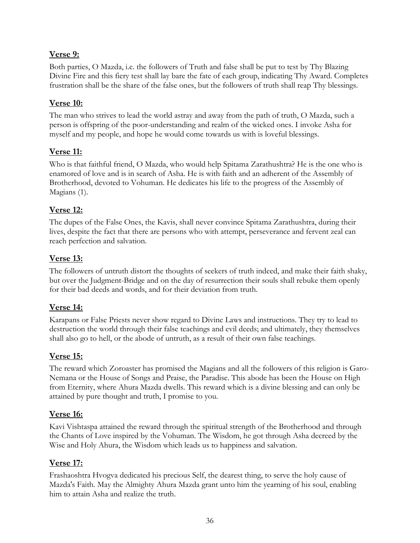# **Verse 9:**

Both parties, O Mazda, i.e. the followers of Truth and false shall be put to test by Thy Blazing Divine Fire and this fiery test shall lay bare the fate of each group, indicating Thy Award. Completes frustration shall be the share of the false ones, but the followers of truth shall reap Thy blessings.

# **Verse 10:**

The man who strives to lead the world astray and away from the path of truth, O Mazda, such a person is offspring of the poor-understanding and realm of the wicked ones. I invoke Asha for myself and my people, and hope he would come towards us with is loveful blessings.

# **Verse 11:**

Who is that faithful friend, O Mazda, who would help Spitama Zarathushtra? He is the one who is enamored of love and is in search of Asha. He is with faith and an adherent of the Assembly of Brotherhood, devoted to Vohuman. He dedicates his life to the progress of the Assembly of Magians (1).

# **Verse 12:**

The dupes of the False Ones, the Kavis, shall never convince Spitama Zarathushtra, during their lives, despite the fact that there are persons who with attempt, perseverance and fervent zeal can reach perfection and salvation.

#### **Verse 13:**

The followers of untruth distort the thoughts of seekers of truth indeed, and make their faith shaky, but over the Judgment-Bridge and on the day of resurrection their souls shall rebuke them openly for their bad deeds and words, and for their deviation from truth.

#### **Verse 14:**

Karapans or False Priests never show regard to Divine Laws and instructions. They try to lead to destruction the world through their false teachings and evil deeds; and ultimately, they themselves shall also go to hell, or the abode of untruth, as a result of their own false teachings.

# **Verse 15:**

The reward which Zoroaster has promised the Magians and all the followers of this religion is Garo-Nemana or the House of Songs and Praise, the Paradise. This abode has been the House on High from Eternity, where Ahura Mazda dwells. This reward which is a divine blessing and can only be attained by pure thought and truth, I promise to you.

#### **Verse 16:**

Kavi Vishtaspa attained the reward through the spiritual strength of the Brotherhood and through the Chants of Love inspired by the Vohuman. The Wisdom, he got through Asha decreed by the Wise and Holy Ahura, the Wisdom which leads us to happiness and salvation.

#### **Verse 17:**

Frashaoshtra Hvogva dedicated his precious Self, the dearest thing, to serve the holy cause of Mazda's Faith. May the Almighty Ahura Mazda grant unto him the yearning of his soul, enabling him to attain Asha and realize the truth.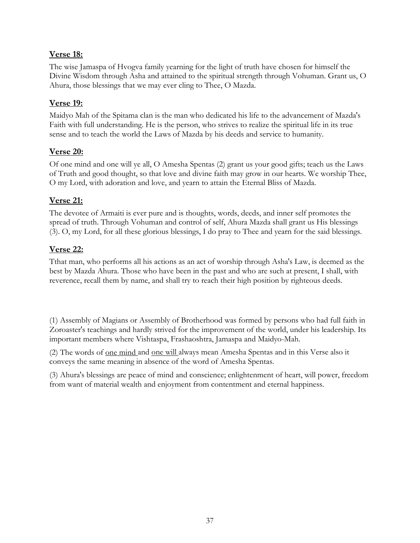# **Verse 18:**

The wise Jamaspa of Hvogva family yearning for the light of truth have chosen for himself the Divine Wisdom through Asha and attained to the spiritual strength through Vohuman. Grant us, O Ahura, those blessings that we may ever cling to Thee, O Mazda.

# **Verse 19:**

Maidyo Mah of the Spitama clan is the man who dedicated his life to the advancement of Mazda's Faith with full understanding. He is the person, who strives to realize the spiritual life in its true sense and to teach the world the Laws of Mazda by his deeds and service to humanity.

#### **Verse 20:**

Of one mind and one will ye all, O Amesha Spentas (2) grant us your good gifts; teach us the Laws of Truth and good thought, so that love and divine faith may grow in our hearts. We worship Thee, O my Lord, with adoration and love, and yearn to attain the Eternal Bliss of Mazda.

# **Verse 21:**

The devotee of Armaiti is ever pure and is thoughts, words, deeds, and inner self promotes the spread of truth. Through Vohuman and control of self, Ahura Mazda shall grant us His blessings (3). O, my Lord, for all these glorious blessings, I do pray to Thee and yearn for the said blessings.

#### **Verse 22:**

Tthat man, who performs all his actions as an act of worship through Asha's Law, is deemed as the best by Mazda Ahura. Those who have been in the past and who are such at present, I shall, with reverence, recall them by name, and shall try to reach their high position by righteous deeds.

(1) Assembly of Magians or Assembly of Brotherhood was formed by persons who had full faith in Zoroaster's teachings and hardly strived for the improvement of the world, under his leadership. Its important members where Vishtaspa, Frashaoshtra, Jamaspa and Maidyo-Mah.

(2) The words of one mind and one will always mean Amesha Spentas and in this Verse also it conveys the same meaning in absence of the word of Amesha Spentas.

(3) Ahura's blessings are peace of mind and conscience; enlightenment of heart, will power, freedom from want of material wealth and enjoyment from contentment and eternal happiness.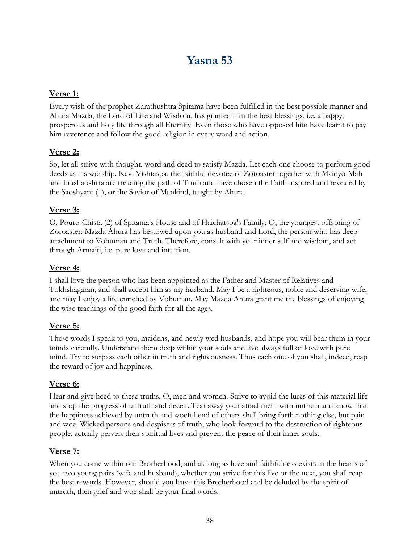# <span id="page-41-0"></span>**Verse 1:**

Every wish of the prophet Zarathushtra Spitama have been fulfilled in the best possible manner and Ahura Mazda, the Lord of Life and Wisdom, has granted him the best blessings, i.e. a happy, prosperous and holy life through all Eternity. Even those who have opposed him have learnt to pay him reverence and follow the good religion in every word and action.

# **Verse 2:**

So, let all strive with thought, word and deed to satisfy Mazda. Let each one choose to perform good deeds as his worship. Kavi Vishtaspa, the faithful devotee of Zoroaster together with Maidyo-Mah and Frashaoshtra are treading the path of Truth and have chosen the Faith inspired and revealed by the Saoshyant (1), or the Savior of Mankind, taught by Ahura.

#### **Verse 3:**

O, Pouro-Chista (2) of Spitama's House and of Haichatspa's Family; O, the youngest offspring of Zoroaster; Mazda Ahura has bestowed upon you as husband and Lord, the person who has deep attachment to Vohuman and Truth. Therefore, consult with your inner self and wisdom, and act through Armaiti, i.e. pure love and intuition.

# **Verse 4:**

I shall love the person who has been appointed as the Father and Master of Relatives and Tokhshagaran, and shall accept him as my husband. May I be a righteous, noble and deserving wife, and may I enjoy a life enriched by Vohuman. May Mazda Ahura grant me the blessings of enjoying the wise teachings of the good faith for all the ages.

#### **Verse 5:**

These words I speak to you, maidens, and newly wed husbands, and hope you will bear them in your minds carefully. Understand them deep within your souls and live always full of love with pure mind. Try to surpass each other in truth and righteousness. Thus each one of you shall, indeed, reap the reward of joy and happiness.

#### **Verse 6:**

Hear and give heed to these truths, O, men and women. Strive to avoid the lures of this material life and stop the progress of untruth and deceit. Tear away your attachment with untruth and know that the happiness achieved by untruth and woeful end of others shall bring forth nothing else, but pain and woe. Wicked persons and despisers of truth, who look forward to the destruction of righteous people, actually pervert their spiritual lives and prevent the peace of their inner souls.

#### **Verse 7:**

When you come within our Brotherhood, and as long as love and faithfulness exists in the hearts of you two young pairs (wife and husband), whether you strive for this live or the next, you shall reap the best rewards. However, should you leave this Brotherhood and be deluded by the spirit of untruth, then grief and woe shall be your final words.